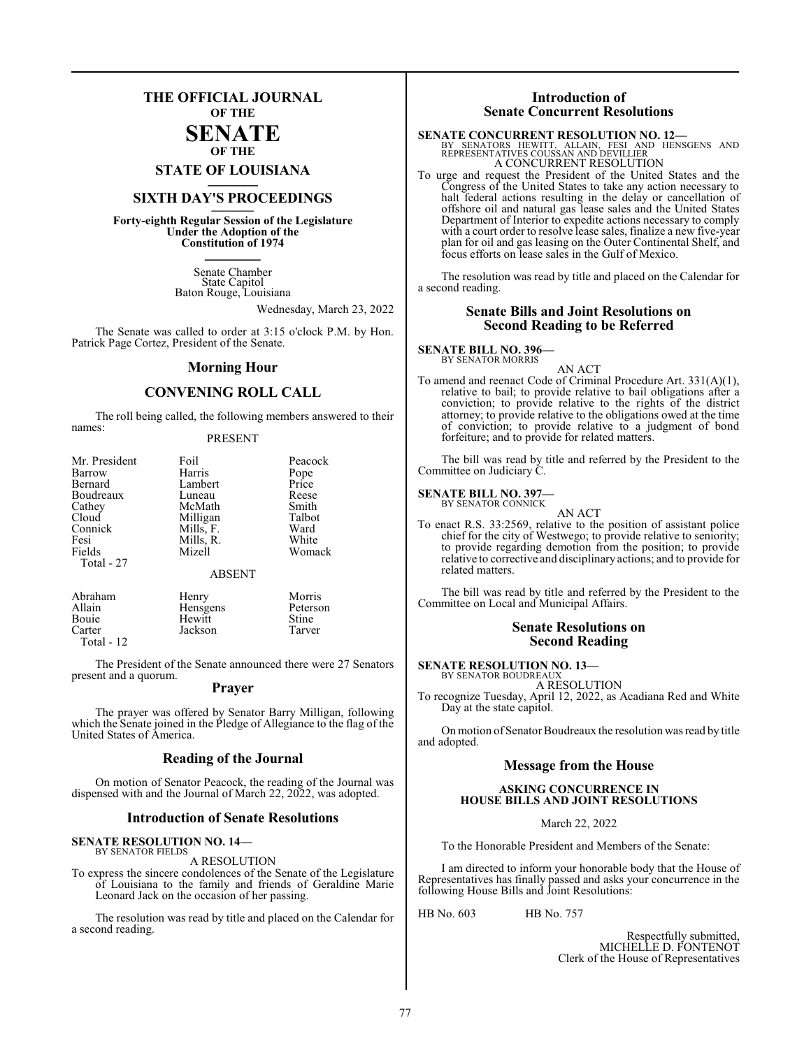## **THE OFFICIAL JOURNAL OF THE**

### **SENATE OF THE**

**STATE OF LOUISIANA \_\_\_\_\_\_\_**

# **SIXTH DAY'S PROCEEDINGS \_\_\_\_\_\_\_**

**Forty-eighth Regular Session of the Legislature Under the Adoption of the Constitution of 1974 \_\_\_\_\_\_\_**

> Senate Chamber State Capitol Baton Rouge, Louisiana

> > Wednesday, March 23, 2022

The Senate was called to order at 3:15 o'clock P.M. by Hon. Patrick Page Cortez, President of the Senate.

### **Morning Hour**

### **CONVENING ROLL CALL**

The roll being called, the following members answered to their names:

### PRESENT

| Mr. President<br>Barrow | Foil<br>Harris | Peacock       |
|-------------------------|----------------|---------------|
| Bernard                 | Lambert        | Pope<br>Price |
| Boudreaux               | Luneau         | Reese         |
| Cathey                  | McMath         | Smith         |
| Cloud                   | Milligan       | Talbot        |
| Connick                 | Mills, F.      | Ward          |
| Fesi                    | Mills, R.      | White         |
| Fields                  | Mizell         | Womack        |
| Total - 27              |                |               |
|                         | <b>ABSENT</b>  |               |
|                         |                |               |

Abraham Henry Morris Allain Hensgens Peters<br>
Bouie Hewitt Stine Bouie Hewitt Stine<br>Carter Lackson Tarver Jackson Total - 12

The President of the Senate announced there were 27 Senators present and a quorum.

### **Prayer**

The prayer was offered by Senator Barry Milligan, following which the Senate joined in the Pledge of Allegiance to the flag of the United States of America.

### **Reading of the Journal**

On motion of Senator Peacock, the reading of the Journal was dispensed with and the Journal of March 22, 2022, was adopted.

### **Introduction of Senate Resolutions**

### **SENATE RESOLUTION NO. 14—** BY SENATOR FIELDS

A RESOLUTION

To express the sincere condolences of the Senate of the Legislature of Louisiana to the family and friends of Geraldine Marie Leonard Jack on the occasion of her passing.

The resolution was read by title and placed on the Calendar for a second reading.

### **Introduction of Senate Concurrent Resolutions**

**SENATE CONCURRENT RESOLUTION NO. 12—**<br>BY SENATORS HEWITT, ALLAIN, FESI AND HENSGENS AND REPRESENTATIVES COUSSAN AND DEVILLIER A CONCURRENT RESOLUTION

To urge and request the President of the United States and the Congress of the United States to take any action necessary to halt federal actions resulting in the delay or cancellation of offshore oil and natural gas lease sales and the United States Department of Interior to expedite actions necessary to comply with a court order to resolve lease sales, finalize a new five-year plan for oil and gas leasing on the Outer Continental Shelf, and focus efforts on lease sales in the Gulf of Mexico.

The resolution was read by title and placed on the Calendar for a second reading.

### **Senate Bills and Joint Resolutions on Second Reading to be Referred**

### **SENATE BILL NO. 396—**

BY SENATOR MORRIS AN ACT

To amend and reenact Code of Criminal Procedure Art. 331(A)(1), relative to bail; to provide relative to bail obligations after a conviction; to provide relative to the rights of the district attorney; to provide relative to the obligations owed at the time of conviction; to provide relative to a judgment of bond forfeiture; and to provide for related matters.

The bill was read by title and referred by the President to the Committee on Judiciary C.

### **SENATE BILL NO. 397—** BY SENATOR CONNICK

AN ACT To enact R.S. 33:2569, relative to the position of assistant police chief for the city of Westwego; to provide relative to seniority; to provide regarding demotion from the position; to provide relative to corrective and disciplinary actions; and to provide for related matters.

The bill was read by title and referred by the President to the Committee on Local and Municipal Affairs.

### **Senate Resolutions on Second Reading**

### **SENATE RESOLUTION NO. 13—**

BY SENATOR BOUDREAUX A RESOLUTION

To recognize Tuesday, April 12, 2022, as Acadiana Red and White Day at the state capitol.

On motion of Senator Boudreaux the resolution was read by title and adopted.

### **Message from the House**

### **ASKING CONCURRENCE IN HOUSE BILLS AND JOINT RESOLUTIONS**

March 22, 2022

To the Honorable President and Members of the Senate:

I am directed to inform your honorable body that the House of Representatives has finally passed and asks your concurrence in the following House Bills and Joint Resolutions:

HB No. 603 HB No. 757

Respectfully submitted, MICHELLE D. FONTENOT Clerk of the House of Representatives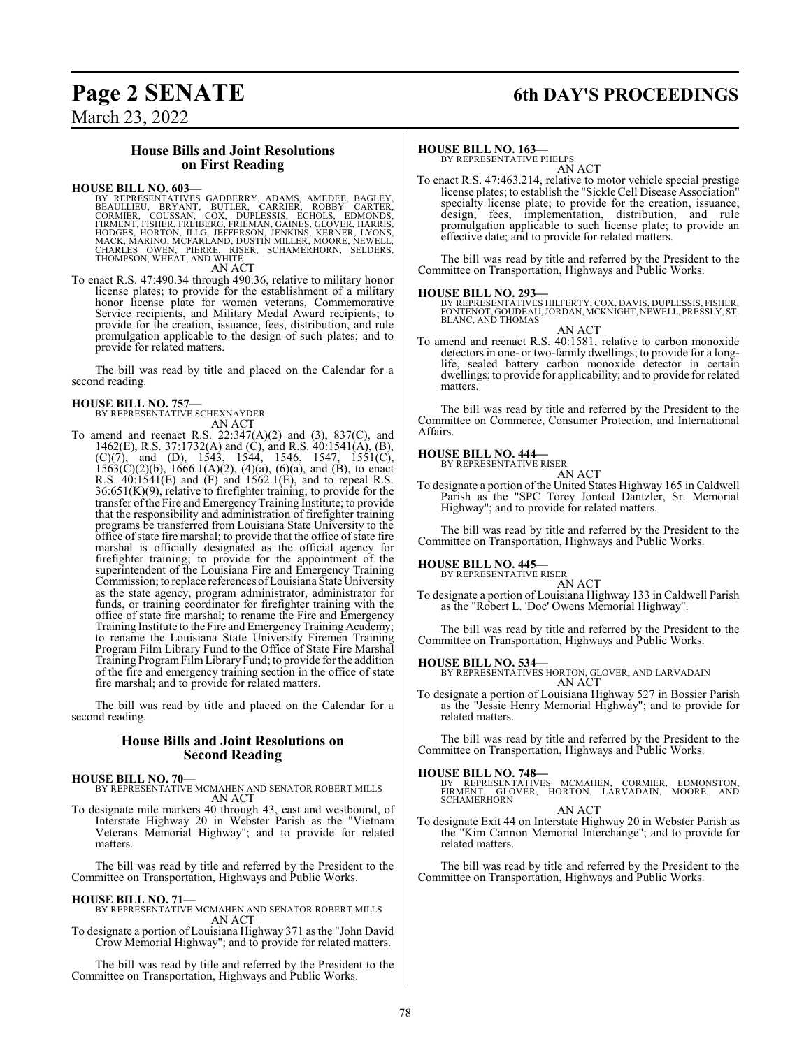# **Page 2 SENATE 6th DAY'S PROCEEDINGS**

March 23, 2022

### **House Bills and Joint Resolutions on First Reading**

### **HOUSE BILL NO. 603—**

BY REPRESENTATIVES GADBERRY, ADAMS, AMEDEE, BAGLEY,<br>BEAULLIEU, BRYANT, BUTLER, CARRIER, ROBBY CARTER,<br>CORMIER, COUSSAN, COX, DUPLESSIS, ECHOLS, EDMONDS,<br>FIRMENT, FISHER, FREIBERG, FRIEMAN, GAINES, GLOVER, HARRIS,<br>HODGES, H

AN ACT

To enact R.S. 47:490.34 through 490.36, relative to military honor license plates; to provide for the establishment of a military honor license plate for women veterans, Commemorative Service recipients, and Military Medal Award recipients; to provide for the creation, issuance, fees, distribution, and rule promulgation applicable to the design of such plates; and to provide for related matters.

The bill was read by title and placed on the Calendar for a second reading.

# **HOUSE BILL NO. 757—** BY REPRESENTATIVE SCHEXNAYDER

AN ACT To amend and reenact R.S. 22:347(A)(2) and (3), 837(C), and 1462(E), R.S. 37:1732(A) and (C), and R.S. 40:1541(A), (B),  $(C)(7)$ , and  $(D)$ , 1543, 1544, 1546, 1547, 1551 $(C)$ ,  $1563(C)(2)(b)$ ,  $1666.1(A)(2)$ ,  $(4)(a)$ ,  $(6)(a)$ , and  $(B)$ , to enact R.S. 40:1541(E) and (F) and 1562.1(E), and to repeal R.S.  $36:651(K)(9)$ , relative to firefighter training; to provide for the transfer of the Fire and Emergency Training Institute; to provide that the responsibility and administration of firefighter training programs be transferred from Louisiana State University to the office of state fire marshal; to provide that the office of state fire marshal is officially designated as the official agency for firefighter training; to provide for the appointment of the superintendent of the Louisiana Fire and Emergency Training Commission; to replace references ofLouisiana State University as the state agency, program administrator, administrator for funds, or training coordinator for firefighter training with the office of state fire marshal; to rename the Fire and Emergency Training Institute to theFire and EmergencyTraining Academy; to rename the Louisiana State University Firemen Training Program Film Library Fund to the Office of State Fire Marshal Training ProgramFilmLibraryFund; to provide for the addition of the fire and emergency training section in the office of state fire marshal; and to provide for related matters.

The bill was read by title and placed on the Calendar for a second reading.

### **House Bills and Joint Resolutions on Second Reading**

### **HOUSE BILL NO. 70—**

BY REPRESENTATIVE MCMAHEN AND SENATOR ROBERT MILLS AN ACT

To designate mile markers 40 through 43, east and westbound, of Interstate Highway 20 in Webster Parish as the "Vietnam Veterans Memorial Highway"; and to provide for related matters.

The bill was read by title and referred by the President to the Committee on Transportation, Highways and Public Works.

### **HOUSE BILL NO. 71—**

BY REPRESENTATIVE MCMAHEN AND SENATOR ROBERT MILLS AN ACT

To designate a portion of Louisiana Highway 371 as the "John David Crow Memorial Highway"; and to provide for related matters.

The bill was read by title and referred by the President to the Committee on Transportation, Highways and Public Works.

### **HOUSE BILL NO. 163—**

BY REPRESENTATIVE PHELPS AN ACT

To enact R.S. 47:463.214, relative to motor vehicle special prestige license plates; to establish the "Sickle Cell Disease Association" specialty license plate; to provide for the creation, issuance, design, fees, implementation, distribution, and rule promulgation applicable to such license plate; to provide an effective date; and to provide for related matters.

The bill was read by title and referred by the President to the Committee on Transportation, Highways and Public Works.

### **HOUSE BILL NO. 293—**

BY REPRESENTATIVES HILFERTY, COX, DAVIS, DUPLESSIS, FISHER, FONTENOT, GOUDEAU,JORDAN, MCKNIGHT, NEWELL, PRESSLY, ST. BLANC, AND THOMAS AN ACT

To amend and reenact R.S. 40:1581, relative to carbon monoxide detectors in one- or two-family dwellings; to provide for a longlife, sealed battery carbon monoxide detector in certain dwellings; to provide for applicability; and to provide for related matters.

The bill was read by title and referred by the President to the Committee on Commerce, Consumer Protection, and International Affairs.

### **HOUSE BILL NO. 444—**

BY REPRESENTATIVE RISER AN ACT

To designate a portion of the United States Highway 165 in Caldwell Parish as the "SPC Torey Jonteal Dantzler, Sr. Memorial Highway"; and to provide for related matters.

The bill was read by title and referred by the President to the Committee on Transportation, Highways and Public Works.

### **HOUSE BILL NO. 445—**

BY REPRESENTATIVE RISER

AN ACT To designate a portion of Louisiana Highway 133 in Caldwell Parish as the "Robert L. 'Doc' Owens Memorial Highway".

The bill was read by title and referred by the President to the Committee on Transportation, Highways and Public Works.

**HOUSE BILL NO. 534—** BY REPRESENTATIVES HORTON, GLOVER, AND LARVADAIN AN ACT

To designate a portion of Louisiana Highway 527 in Bossier Parish as the "Jessie Henry Memorial Highway"; and to provide for related matters.

The bill was read by title and referred by the President to the Committee on Transportation, Highways and Public Works.

- **HOUSE BILL NO. 748—**<br>BY REPRESENTATIVES MCMAHEN, CORMIER, EDMONSTON,<br>FIRMENT, GLOVER, HORTON, LARVADAIN, MOORE, AND<br>SCHAMERHORN AN ACT
- To designate Exit 44 on Interstate Highway 20 in Webster Parish as the "Kim Cannon Memorial Interchange"; and to provide for related matters.

The bill was read by title and referred by the President to the Committee on Transportation, Highways and Public Works.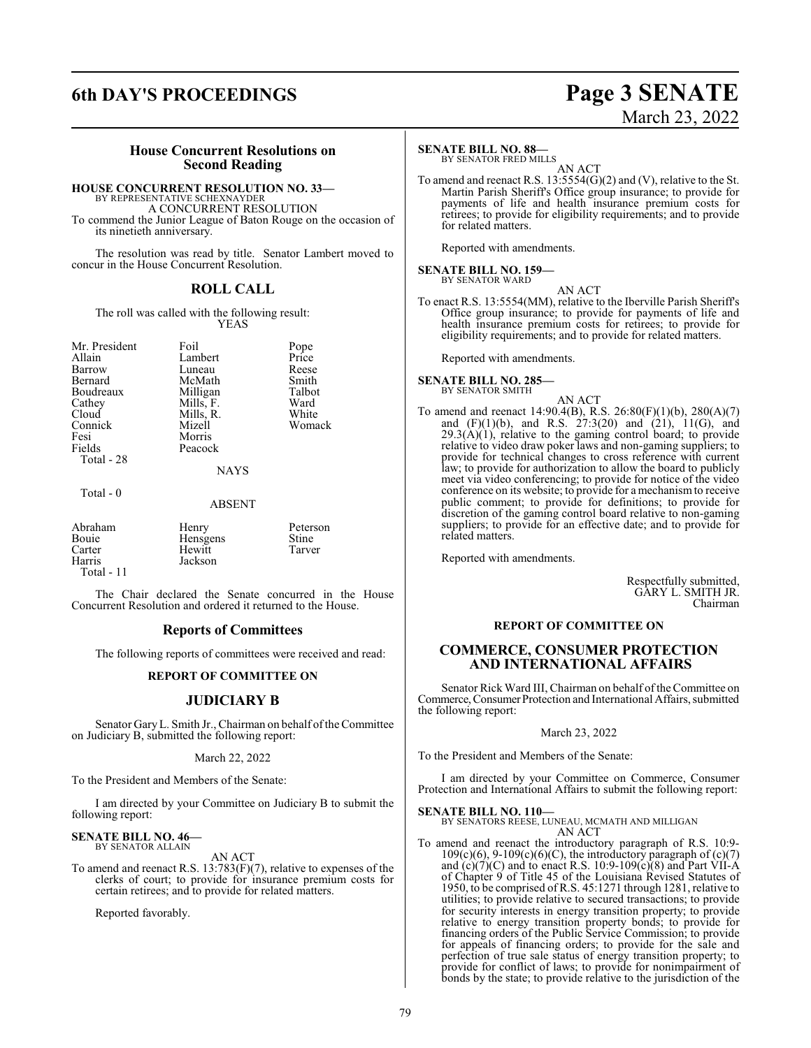# **6th DAY'S PROCEEDINGS Page 3 SENATE**

# March 23, 2022

### **House Concurrent Resolutions on Second Reading**

### **HOUSE CONCURRENT RESOLUTION NO. 33—**

BY REPRESENTATIVE SCHEXNAYDER A CONCURRENT RESOLUTION To commend the Junior League of Baton Rouge on the occasion of its ninetieth anniversary.

The resolution was read by title. Senator Lambert moved to concur in the House Concurrent Resolution.

### **ROLL CALL**

The roll was called with the following result: YEAS

| Mr. President | Foil        | Pope   |
|---------------|-------------|--------|
| Allain        | Lambert     | Price  |
| Barrow        | Luneau      | Reese  |
| Bernard       | McMath      | Smith  |
| Boudreaux     | Milligan    | Talbot |
| Cathey        | Mills, F.   | Ward   |
| Cloud         | Mills, R.   | White  |
| Connick       | Mizell      | Womack |
| Fesi          | Morris      |        |
| Fields        | Peacock     |        |
| Total - 28    |             |        |
|               | <b>NAYS</b> |        |
| Total - 0     |             |        |

### ABSENT

| Abraham<br>Bouie<br>Carter<br>Harris | Henry<br>Hensgens<br>Hewitt<br>Jackson | Peterson<br><b>Stine</b><br>Tarver |
|--------------------------------------|----------------------------------------|------------------------------------|
| Total - $11$                         |                                        |                                    |

The Chair declared the Senate concurred in the House Concurrent Resolution and ordered it returned to the House.

### **Reports of Committees**

The following reports of committees were received and read:

### **REPORT OF COMMITTEE ON**

### **JUDICIARY B**

Senator GaryL. Smith Jr., Chairman on behalf ofthe Committee on Judiciary B, submitted the following report:

### March 22, 2022

To the President and Members of the Senate:

I am directed by your Committee on Judiciary B to submit the following report:

### **SENATE BILL NO. 46—** BY SENATOR ALLAIN

AN ACT

To amend and reenact R.S. 13:783(F)(7), relative to expenses of the clerks of court; to provide for insurance premium costs for certain retirees; and to provide for related matters.

Reported favorably.

### **SENATE BILL NO. 88—**

BY SENATOR FRED MILLS

AN ACT To amend and reenact R.S. 13:5554(G)(2) and (V), relative to the St. Martin Parish Sheriff's Office group insurance; to provide for payments of life and health insurance premium costs for retirees; to provide for eligibility requirements; and to provide for related matters.

Reported with amendments.

### **SENATE BILL NO. 159—** BY SENATOR WARD

AN ACT To enact R.S. 13:5554(MM), relative to the Iberville Parish Sheriff's Office group insurance; to provide for payments of life and health insurance premium costs for retirees; to provide for eligibility requirements; and to provide for related matters.

Reported with amendments.

### **SENATE BILL NO. 285—** BY SENATOR SMITH

- AN ACT
- To amend and reenact 14:90.4(B), R.S. 26:80(F)(1)(b), 280(A)(7) and (F)(1)(b), and R.S. 27:3(20) and (21), 11(G), and  $29.3(A)(1)$ , relative to the gaming control board; to provide relative to video draw poker laws and non-gaming suppliers; to provide for technical changes to cross reference with current law; to provide for authorization to allow the board to publicly meet via video conferencing; to provide for notice of the video conference on its website; to provide for a mechanismto receive public comment; to provide for definitions; to provide for discretion of the gaming control board relative to non-gaming suppliers; to provide for an effective date; and to provide for related matters.

Reported with amendments.

Respectfully submitted, GARY L. SMITH JR. Chairman

### **REPORT OF COMMITTEE ON**

### **COMMERCE, CONSUMER PROTECTION AND INTERNATIONAL AFFAIRS**

Senator Rick Ward III, Chairman on behalf of the Committee on Commerce, Consumer Protection and International Affairs, submitted the following report:

### March 23, 2022

To the President and Members of the Senate:

I am directed by your Committee on Commerce, Consumer Protection and International Affairs to submit the following report:

**SENATE BILL NO. 110—** BY SENATORS REESE, LUNEAU, MCMATH AND MILLIGAN AN ACT

To amend and reenact the introductory paragraph of R.S. 10:9-  $109(c)(6)$ ,  $9-109(c)(6)(C)$ , the introductory paragraph of  $(c)(7)$ and  $(c)(7)(C)$  and to enact R.S. 10:9-109 $(c)(8)$  and Part VII-A of Chapter 9 of Title 45 of the Louisiana Revised Statutes of 1950, to be comprised of R.S. 45:1271 through 1281, relative to utilities; to provide relative to secured transactions; to provide for security interests in energy transition property; to provide relative to energy transition property bonds; to provide for financing orders of the Public Service Commission; to provide for appeals of financing orders; to provide for the sale and perfection of true sale status of energy transition property; to provide for conflict of laws; to provide for nonimpairment of bonds by the state; to provide relative to the jurisdiction of the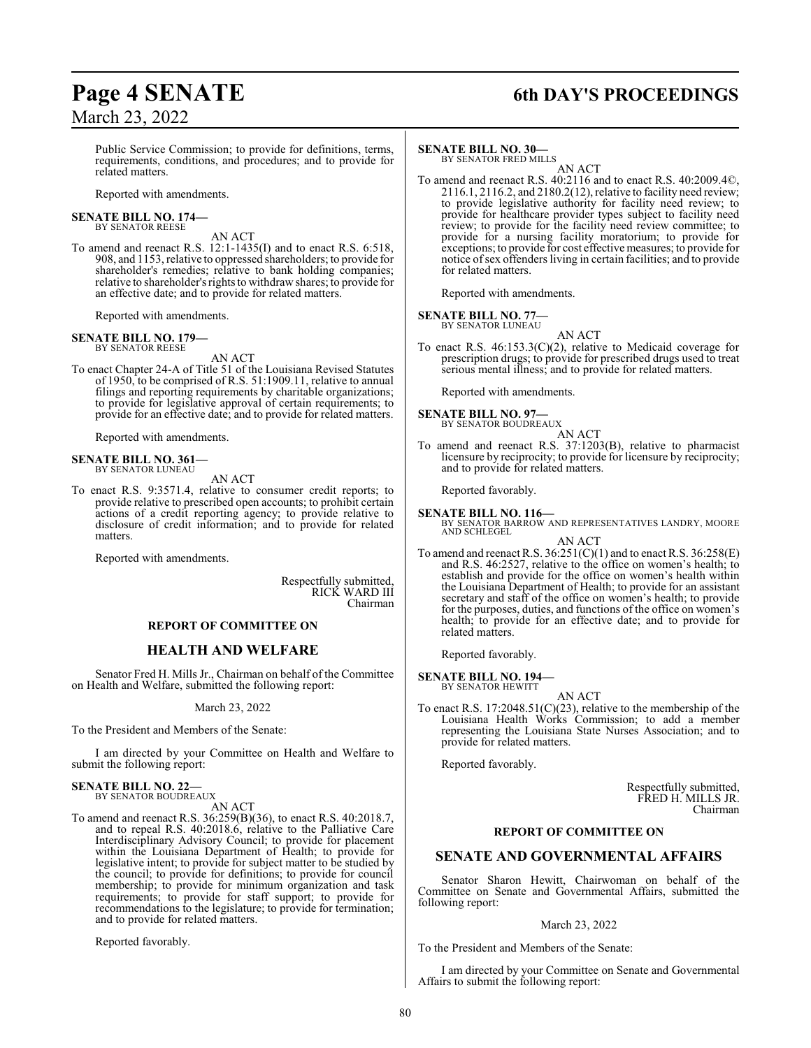# **Page 4 SENATE 6th DAY'S PROCEEDINGS**

Public Service Commission; to provide for definitions, terms, requirements, conditions, and procedures; and to provide for related matters.

Reported with amendments.

# **SENATE BILL NO. 174—** BY SENATOR REESE

AN ACT

To amend and reenact R.S. 12:1-1435(I) and to enact R.S. 6:518, 908, and 1153, relative to oppressed shareholders; to provide for shareholder's remedies; relative to bank holding companies; relative to shareholder'srights to withdraw shares; to provide for an effective date; and to provide for related matters.

Reported with amendments.

### **SENATE BILL NO. 179—** BY SENATOR REESE

AN ACT

To enact Chapter 24-A of Title 51 of the Louisiana Revised Statutes of 1950, to be comprised of R.S. 51:1909.11, relative to annual filings and reporting requirements by charitable organizations; to provide for legislative approval of certain requirements; to provide for an effective date; and to provide for related matters.

Reported with amendments.

### **SENATE BILL NO. 361—** BY SENATOR LUNEAU

AN ACT

To enact R.S. 9:3571.4, relative to consumer credit reports; to provide relative to prescribed open accounts; to prohibit certain actions of a credit reporting agency; to provide relative to disclosure of credit information; and to provide for related matters.

Reported with amendments.

Respectfully submitted, RICK WARD III Chairman

### **REPORT OF COMMITTEE ON**

### **HEALTH AND WELFARE**

Senator Fred H. Mills Jr., Chairman on behalf of the Committee on Health and Welfare, submitted the following report:

March 23, 2022

To the President and Members of the Senate:

I am directed by your Committee on Health and Welfare to submit the following report:

### **SENATE BILL NO. 22—** BY SENATOR BOUDREAUX

AN ACT

To amend and reenact R.S. 36:259(B)(36), to enact R.S. 40:2018.7, and to repeal R.S. 40:2018.6, relative to the Palliative Care Interdisciplinary Advisory Council; to provide for placement within the Louisiana Department of Health; to provide for legislative intent; to provide for subject matter to be studied by the council; to provide for definitions; to provide for council membership; to provide for minimum organization and task requirements; to provide for staff support; to provide for recommendations to the legislature; to provide for termination; and to provide for related matters.

Reported favorably.

### **SENATE BILL NO. 30—**

BY SENATOR FRED MILLS AN ACT

To amend and reenact R.S. 40:2116 and to enact R.S. 40:2009.4©, 2116.1, 2116.2, and 2180.2(12), relative to facility need review; to provide legislative authority for facility need review; to provide for healthcare provider types subject to facility need review; to provide for the facility need review committee; to provide for a nursing facility moratorium; to provide for exceptions; to provide for cost effective measures; to provide for notice ofsex offenders living in certain facilities; and to provide for related matters.

Reported with amendments.

# **SENATE BILL NO. 77—**<br>BY SENATOR LUNEAU

AN ACT

To enact R.S. 46:153.3(C)(2), relative to Medicaid coverage for prescription drugs; to provide for prescribed drugs used to treat serious mental illness; and to provide for related matters.

Reported with amendments.

# **SENATE BILL NO. 97—**<br>BY SENATOR BOUDREAUX

AN ACT

To amend and reenact R.S. 37:1203(B), relative to pharmacist licensure by reciprocity; to provide for licensure by reciprocity; and to provide for related matters.

Reported favorably.

**SENATE BILL NO. 116—** BY SENATOR BARROW AND REPRESENTATIVES LANDRY, MOORE AND SCHLEGEL AN ACT

To amend and reenact R.S. 36:251(C)(1) and to enact R.S. 36:258(E) and R.S. 46:2527, relative to the office on women's health; to establish and provide for the office on women's health within the Louisiana Department of Health; to provide for an assistant secretary and staff of the office on women's health; to provide for the purposes, duties, and functions of the office on women's health; to provide for an effective date; and to provide for related matters.

Reported favorably.

### **SENATE BILL NO. 194—** BY SENATOR HEWITT

AN ACT

To enact R.S. 17:2048.51(C)(23), relative to the membership of the Louisiana Health Works Commission; to add a member representing the Louisiana State Nurses Association; and to provide for related matters.

Reported favorably.

Respectfully submitted, FRED H. MILLS JR. Chairman

### **REPORT OF COMMITTEE ON**

### **SENATE AND GOVERNMENTAL AFFAIRS**

Senator Sharon Hewitt, Chairwoman on behalf of the Committee on Senate and Governmental Affairs, submitted the following report:

### March 23, 2022

To the President and Members of the Senate:

I am directed by your Committee on Senate and Governmental Affairs to submit the following report: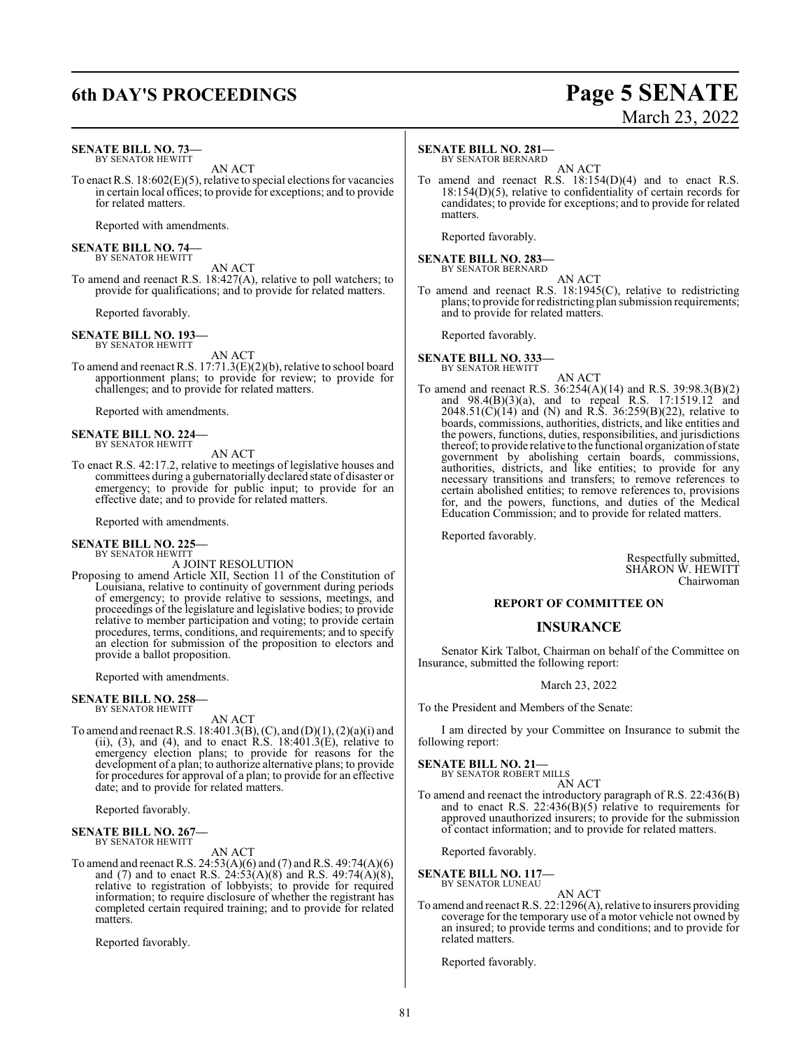# **6th DAY'S PROCEEDINGS Page 5 SENATE**

### **SENATE BILL NO. 73—** BY SENATOR HEWITT

AN ACT

To enact R.S. 18:602(E)(5), relative to special elections for vacancies in certain local offices; to provide for exceptions; and to provide for related matters.

Reported with amendments.

**SENATE BILL NO. 74—** BY SENATOR HEWITT

AN ACT To amend and reenact R.S. 18:427(A), relative to poll watchers; to provide for qualifications; and to provide for related matters.

Reported favorably.

### **SENATE BILL NO. 193—**

BY SENATOR HEWITT

AN ACT To amend and reenact R.S. 17:71.3(E)(2)(b), relative to school board apportionment plans; to provide for review; to provide for challenges; and to provide for related matters.

Reported with amendments.

**SENATE BILL NO. 224—** BY SENATOR HEWITT

AN ACT To enact R.S. 42:17.2, relative to meetings of legislative houses and committees during a gubernatorially declared state of disaster or emergency; to provide for public input; to provide for an effective date; and to provide for related matters.

Reported with amendments.

**SENATE BILL NO. 225—** BY SENATOR HEWITT

A JOINT RESOLUTION

Proposing to amend Article XII, Section 11 of the Constitution of Louisiana, relative to continuity of government during periods of emergency; to provide relative to sessions, meetings, and proceedings of the legislature and legislative bodies; to provide relative to member participation and voting; to provide certain procedures, terms, conditions, and requirements; and to specify an election for submission of the proposition to electors and provide a ballot proposition.

Reported with amendments.

# **SENATE BILL NO. 258—** BY SENATOR HEWITT

AN ACT

To amend and reenact R.S. 18:401.3(B), (C), and (D)(1), (2)(a)(i) and (ii),  $(3)$ , and  $(4)$ , and to enact R.S. 18:401.3(E), relative to emergency election plans; to provide for reasons for the development of a plan; to authorize alternative plans; to provide for procedures for approval of a plan; to provide for an effective date; and to provide for related matters.

Reported favorably.

### **SENATE BILL NO. 267—** BY SENATOR HEWITT

AN ACT

To amend and reenact R.S. 24:53(A)(6) and (7) and R.S. 49:74(A)(6) and (7) and to enact R.S.  $24:53(A)(8)$  and R.S.  $49:74(A)(8)$ , relative to registration of lobbyists; to provide for required information; to require disclosure of whether the registrant has completed certain required training; and to provide for related matters.

Reported favorably.

### **SENATE BILL NO. 281—**

BY SENATOR BERNARD AN ACT

To amend and reenact R.S. 18:154(D)(4) and to enact R.S. 18:154(D)(5), relative to confidentiality of certain records for candidates; to provide for exceptions; and to provide for related matters.

Reported favorably.

**SENATE BILL NO. 283—** BY SENATOR BERNARD

AN ACT To amend and reenact R.S. 18:1945(C), relative to redistricting plans; to provide for redistricting plan submission requirements;

Reported favorably.

**SENATE BILL NO. 333—** BY SENATOR HEWITT

AN ACT

and to provide for related matters.

To amend and reenact R.S. 36:254(A)(14) and R.S. 39:98.3(B)(2) and 98.4(B)(3)(a), and to repeal R.S. 17:1519.12 and  $2048.51(C)(14)$  and (N) and R.S. 36:259(B)(22), relative to boards, commissions, authorities, districts, and like entities and the powers, functions, duties, responsibilities, and jurisdictions thereof; to provide relative to the functional organization ofstate government by abolishing certain boards, commissions, authorities, districts, and like entities; to provide for any necessary transitions and transfers; to remove references to certain abolished entities; to remove references to, provisions for, and the powers, functions, and duties of the Medical Education Commission; and to provide for related matters.

Reported favorably.

Respectfully submitted, SHARON W. HEWITT Chairwoman

### **REPORT OF COMMITTEE ON**

### **INSURANCE**

Senator Kirk Talbot, Chairman on behalf of the Committee on Insurance, submitted the following report:

March 23, 2022

To the President and Members of the Senate:

I am directed by your Committee on Insurance to submit the following report:

**SENATE BILL NO. 21—** BY SENATOR ROBERT MILLS

AN ACT

To amend and reenact the introductory paragraph of R.S. 22:436(B) and to enact R.S.  $22:436(B)(5)$  relative to requirements for approved unauthorized insurers; to provide for the submission of contact information; and to provide for related matters.

Reported favorably.

**SENATE BILL NO. 117—** BY SENATOR LUNEAU

AN ACT

To amend and reenact R.S. 22:1296(A), relative to insurers providing coverage for the temporary use of a motor vehicle not owned by an insured; to provide terms and conditions; and to provide for related matters.

Reported favorably.

# March 23, 2022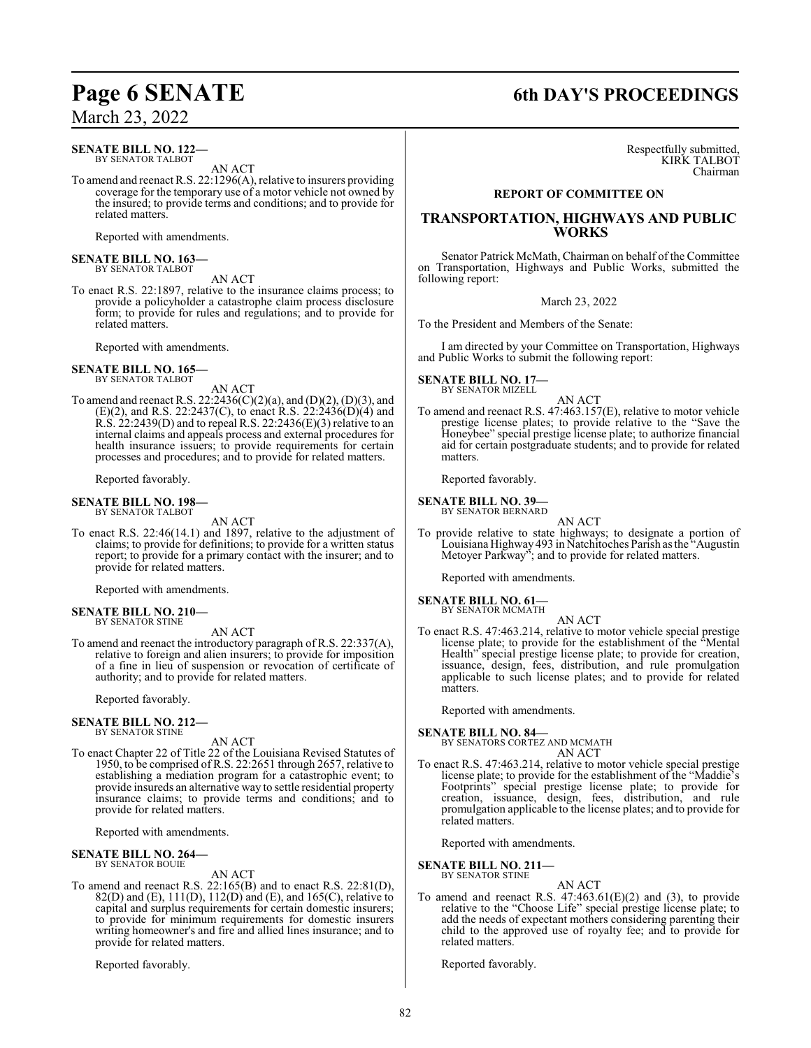### **SENATE BILL NO. 122—** BY SENATOR TALBOT

AN ACT

To amend and reenact R.S. 22:1296(A), relative to insurers providing coverage for the temporary use of a motor vehicle not owned by the insured; to provide terms and conditions; and to provide for related matters.

Reported with amendments.

# **SENATE BILL NO. 163—** BY SENATOR TALBOT

AN ACT

To enact R.S. 22:1897, relative to the insurance claims process; to provide a policyholder a catastrophe claim process disclosure form; to provide for rules and regulations; and to provide for related matters.

Reported with amendments.

**SENATE BILL NO. 165—** BY SENATOR TALBOT

AN ACT

To amend and reenact R.S. 22:2436(C)(2)(a), and (D)(2), (D)(3), and (E)(2), and R.S. 22:2437(C), to enact R.S. 22:2436(D)(4) and R.S. 22:2439(D) and to repeal R.S. 22:2436(E)(3) relative to an internal claims and appeals process and external procedures for health insurance issuers; to provide requirements for certain processes and procedures; and to provide for related matters.

Reported favorably.

### **SENATE BILL NO. 198—** BY SENATOR TALBOT

AN ACT

To enact R.S. 22:46(14.1) and 1897, relative to the adjustment of claims; to provide for definitions; to provide for a written status report; to provide for a primary contact with the insurer; and to provide for related matters.

Reported with amendments.

### **SENATE BILL NO. 210—** BY SENATOR STINE

AN ACT

To amend and reenact the introductory paragraph of R.S. 22:337(A), relative to foreign and alien insurers; to provide for imposition of a fine in lieu of suspension or revocation of certificate of authority; and to provide for related matters.

Reported favorably.

### **SENATE BILL NO. 212—** BY SENATOR STINE

AN ACT

To enact Chapter 22 of Title 22 of the Louisiana Revised Statutes of 1950, to be comprised of R.S. 22:2651 through 2657, relative to establishing a mediation program for a catastrophic event; to provide insureds an alternative way to settle residential property insurance claims; to provide terms and conditions; and to provide for related matters.

Reported with amendments.

### **SENATE BILL NO. 264—** BY SENATOR BOUIE

AN ACT

To amend and reenact R.S. 22:165(B) and to enact R.S. 22:81(D), 82(D) and (E), 111(D), 112(D) and (E), and 165(C), relative to capital and surplus requirements for certain domestic insurers; to provide for minimum requirements for domestic insurers writing homeowner's and fire and allied lines insurance; and to provide for related matters.

Reported favorably.

# **Page 6 SENATE 6th DAY'S PROCEEDINGS**

Respectfully submitted, KIRK TALBOT Chairman

### **REPORT OF COMMITTEE ON**

### **TRANSPORTATION, HIGHWAYS AND PUBLIC WORKS**

Senator Patrick McMath, Chairman on behalf of the Committee on Transportation, Highways and Public Works, submitted the following report:

March 23, 2022

To the President and Members of the Senate:

I am directed by your Committee on Transportation, Highways and Public Works to submit the following report:

**SENATE BILL NO. 17—** BY SENATOR MIZELL

### AN ACT

To amend and reenact R.S. 47:463.157(E), relative to motor vehicle prestige license plates; to provide relative to the "Save the Honeybee" special prestige license plate; to authorize financial aid for certain postgraduate students; and to provide for related matters.

Reported favorably.

**SENATE BILL NO. 39—**

BY SENATOR BERNARD

AN ACT

To provide relative to state highways; to designate a portion of Louisiana Highway 493 in Natchitoches Parish as the "Augustin Metoyer Parkway"; and to provide for related matters.

Reported with amendments.

### **SENATE BILL NO. 61—** BY SENATOR MCMATH

AN ACT

To enact R.S. 47:463.214, relative to motor vehicle special prestige license plate; to provide for the establishment of the "Mental Health" special prestige license plate; to provide for creation, issuance, design, fees, distribution, and rule promulgation applicable to such license plates; and to provide for related matters.

Reported with amendments.

### **SENATE BILL NO. 84—**

BY SENATORS CORTEZ AND MCMATH AN ACT

To enact R.S. 47:463.214, relative to motor vehicle special prestige license plate; to provide for the establishment of the "Maddie's Footprints" special prestige license plate; to provide for creation, issuance, design, fees, distribution, and rule promulgation applicable to the license plates; and to provide for related matters.

Reported with amendments.

### **SENATE BILL NO. 211—** BY SENATOR STINE

AN ACT To amend and reenact R.S.  $47:463.61(E)(2)$  and (3), to provide relative to the "Choose Life" special prestige license plate; to add the needs of expectant mothers considering parenting their child to the approved use of royalty fee; and to provide for related matters.

Reported favorably.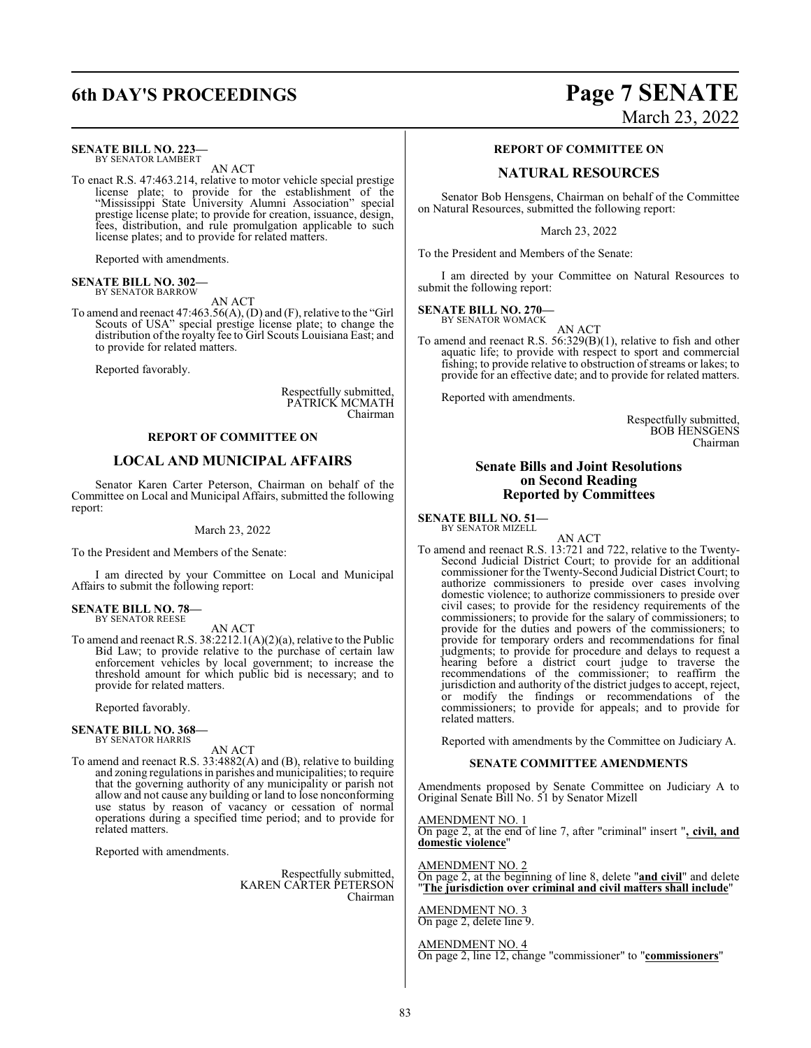# **6th DAY'S PROCEEDINGS Page 7 SENATE**

### **SENATE BILL NO. 223—**

BY SENATOR LAMBERT AN ACT

To enact R.S. 47:463.214, relative to motor vehicle special prestige license plate; to provide for the establishment of the "Mississippi State University Alumni Association" special prestige license plate; to provide for creation, issuance, design, fees, distribution, and rule promulgation applicable to such license plates; and to provide for related matters.

Reported with amendments.

### **SENATE BILL NO. 302—** BY SENATOR BARROW

AN ACT

To amend and reenact 47:463.56(A), (D) and (F), relative to the "Girl Scouts of USA" special prestige license plate; to change the distribution of the royalty fee to Girl Scouts Louisiana East; and to provide for related matters.

Reported favorably.

Respectfully submitted, PATRICK MCMATH Chairman

### **REPORT OF COMMITTEE ON**

### **LOCAL AND MUNICIPAL AFFAIRS**

Senator Karen Carter Peterson, Chairman on behalf of the Committee on Local and Municipal Affairs, submitted the following report:

March 23, 2022

To the President and Members of the Senate:

I am directed by your Committee on Local and Municipal Affairs to submit the following report:

**SENATE BILL NO. 78—** BY SENATOR REESE

AN ACT To amend and reenact R.S. 38:2212.1(A)(2)(a), relative to the Public Bid Law; to provide relative to the purchase of certain law enforcement vehicles by local government; to increase the threshold amount for which public bid is necessary; and to provide for related matters.

Reported favorably.

### **SENATE BILL NO. 368—** BY SENATOR HARRIS

AN ACT

To amend and reenact R.S. 33:4882(A) and (B), relative to building and zoning regulations in parishes and municipalities; to require that the governing authority of any municipality or parish not allow and not cause any building or land to lose nonconforming use status by reason of vacancy or cessation of normal operations during a specified time period; and to provide for related matters.

Reported with amendments.

Respectfully submitted, KAREN CARTER PETERSON Chairman

# March 23, 2022

### **REPORT OF COMMITTEE ON**

### **NATURAL RESOURCES**

Senator Bob Hensgens, Chairman on behalf of the Committee on Natural Resources, submitted the following report:

March 23, 2022

To the President and Members of the Senate:

I am directed by your Committee on Natural Resources to submit the following report:

**SENATE BILL NO. 270—** BY SENATOR WOMACK

AN ACT

To amend and reenact R.S. 56:329(B)(1), relative to fish and other aquatic life; to provide with respect to sport and commercial fishing; to provide relative to obstruction of streams or lakes; to provide for an effective date; and to provide for related matters.

Reported with amendments.

Respectfully submitted, BOB HENSGENS Chairman

### **Senate Bills and Joint Resolutions on Second Reading Reported by Committees**

### **SENATE BILL NO. 51—** BY SENATOR MIZELL

AN ACT

To amend and reenact R.S. 13:721 and 722, relative to the Twenty-Second Judicial District Court; to provide for an additional commissioner for the Twenty-Second Judicial District Court; to authorize commissioners to preside over cases involving domestic violence; to authorize commissioners to preside over civil cases; to provide for the residency requirements of the commissioners; to provide for the salary of commissioners; to provide for the duties and powers of the commissioners; to provide for temporary orders and recommendations for final judgments; to provide for procedure and delays to request a hearing before a district court judge to traverse the recommendations of the commissioner; to reaffirm the jurisdiction and authority of the district judges to accept, reject, or modify the findings or recommendations of the commissioners; to provide for appeals; and to provide for related matters.

Reported with amendments by the Committee on Judiciary A.

### **SENATE COMMITTEE AMENDMENTS**

Amendments proposed by Senate Committee on Judiciary A to Original Senate Bill No. 51 by Senator Mizell

### AMENDMENT NO. 1

On page 2, at the end of line 7, after "criminal" insert "**, civil, and domestic violence**"

### AMENDMENT NO. 2

On page 2, at the beginning of line 8, delete "**and civil**" and delete "**The jurisdiction over criminal and civil matters shall include**"

AMENDMENT NO. 3 On page 2, delete line 9.

### AMENDMENT NO. 4

On page 2, line 12, change "commissioner" to "**commissioners**"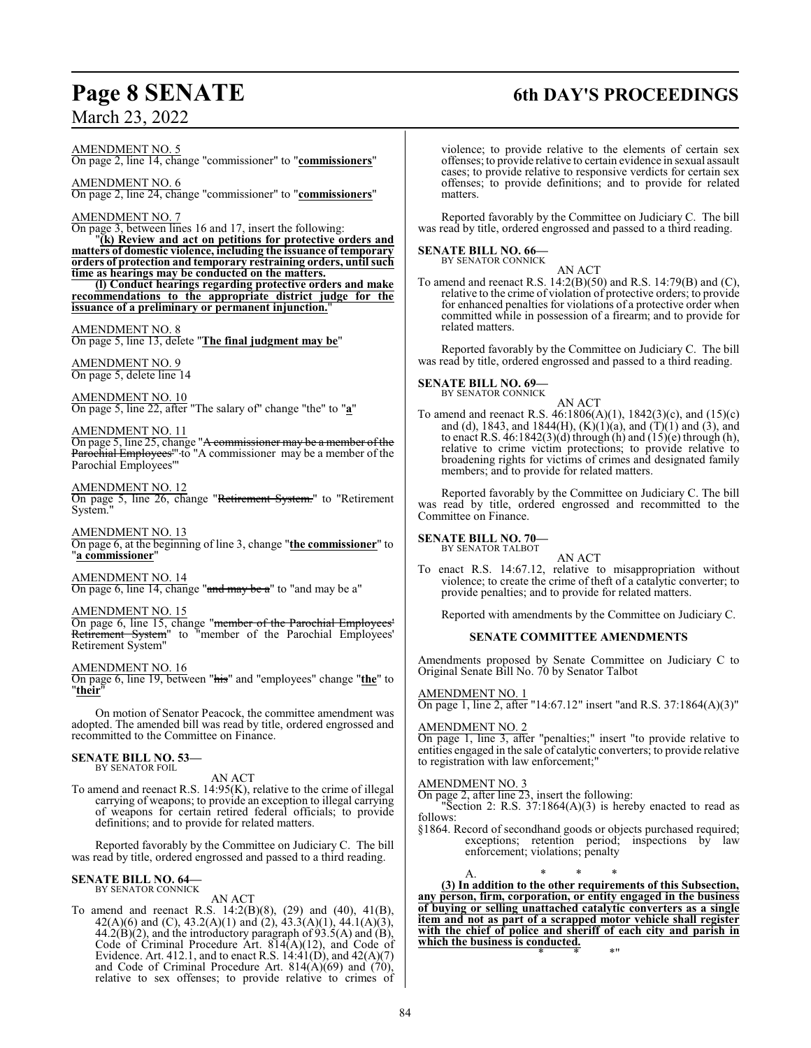# **Page 8 SENATE 6th DAY'S PROCEEDINGS**

March 23, 2022

AMENDMENT NO. 5 On page 2, line 14, change "commissioner" to "**commissioners**"

AMENDMENT NO. 6 On page 2, line 24, change "commissioner" to "**commissioners**"

### AMENDMENT NO. 7

On page 3, between lines 16 and 17, insert the following: "**(k) Review and act on petitions for protective orders and matters of domestic violence, including the issuance of temporary orders of protection and temporary restraining orders, until such time as hearings may be conducted on the matters.**

**(l) Conduct hearings regarding protective orders and make recommendations to the appropriate district judge for the issuance of a preliminary or permanent injunction.**"

### AMENDMENT NO. 8

On page 5, line 13, delete "**The final judgment may be**"

AMENDMENT NO. 9 On page 5, delete line 14

AMENDMENT NO. 10 On page 5, line 22, after "The salary of" change "the" to "**a**"

AMENDMENT NO. 11 On page 5, line 25, change "<del>A commissioner may be a member of the</del> Parochial Employees''' to "A commissioner may be a member of the Parochial Employees'"

### AMENDMENT NO. 12

On page 5, line 26, change "Retirement System." to "Retirement System.

AMENDMENT NO. 13 On page 6, at the beginning of line 3, change "**the commissioner**" to "**a commissioner**"

AMENDMENT NO. 14 On page 6, line 14, change "and may be a" to "and may be a"

AMENDMENT NO. 15

On page 6, line 15, change "<del>member of the Parochial Employees</del>' Retirement System" to "member of the Parochial Employees' Retirement System"

AMENDMENT NO. 16

On page 6, line 19, between "his" and "employees" change "**the**" to "**their**"

On motion of Senator Peacock, the committee amendment was adopted. The amended bill was read by title, ordered engrossed and recommitted to the Committee on Finance.

### **SENATE BILL NO. 53—** BY SENATOR FOIL

AN ACT

To amend and reenact R.S. 14:95(K), relative to the crime of illegal carrying of weapons; to provide an exception to illegal carrying of weapons for certain retired federal officials; to provide definitions; and to provide for related matters.

Reported favorably by the Committee on Judiciary C. The bill was read by title, ordered engrossed and passed to a third reading.

### **SENATE BILL NO. 64—** BY SENATOR CONNICK

AN ACT

To amend and reenact R.S. 14:2(B)(8), (29) and (40), 41(B), 42(A)(6) and (C), 43.2(A)(1) and (2), 43.3(A)(1), 44.1(A)(3),  $44.2(B)(2)$ , and the introductory paragraph of 93.5(A) and (B), Code of Criminal Procedure Art. 814(A)(12), and Code of Evidence. Art. 412.1, and to enact R.S.  $14:41(D)$ , and  $42(A)(7)$ and Code of Criminal Procedure Art. 814 $(A)(69)$  and  $(70)$ , relative to sex offenses; to provide relative to crimes of

violence; to provide relative to the elements of certain sex offenses; to provide relative to certain evidence in sexual assault cases; to provide relative to responsive verdicts for certain sex offenses; to provide definitions; and to provide for related matters.

Reported favorably by the Committee on Judiciary C. The bill was read by title, ordered engrossed and passed to a third reading.

# **SENATE BILL NO. 66—**<br>BY SENATOR CONNICK

AN ACT

To amend and reenact R.S. 14:2(B)(50) and R.S. 14:79(B) and (C), relative to the crime of violation of protective orders; to provide for enhanced penalties for violations of a protective order when committed while in possession of a firearm; and to provide for related matters.

Reported favorably by the Committee on Judiciary C. The bill was read by title, ordered engrossed and passed to a third reading.

### **SENATE BILL NO. 69—** BY SENATOR CONNICK

### AN ACT

To amend and reenact R.S. 46:1806(A)(1), 1842(3)(c), and (15)(c) and (d), 1843, and 1844(H),  $(K)(1)(a)$ , and  $(T)(1)$  and  $(3)$ , and to enact R.S. 46:1842(3)(d) through (h) and (15)(e) through (h), relative to crime victim protections; to provide relative to broadening rights for victims of crimes and designated family members; and to provide for related matters.

Reported favorably by the Committee on Judiciary C. The bill was read by title, ordered engrossed and recommitted to the Committee on Finance.

# **SENATE BILL NO. 70—**<br>BY SENATOR TALBOT

AN ACT To enact R.S. 14:67.12, relative to misappropriation without violence; to create the crime of theft of a catalytic converter; to provide penalties; and to provide for related matters.

Reported with amendments by the Committee on Judiciary C.

### **SENATE COMMITTEE AMENDMENTS**

Amendments proposed by Senate Committee on Judiciary C to Original Senate Bill No. 70 by Senator Talbot

AMENDMENT NO. 1 On page 1, line 2, after "14:67.12" insert "and R.S. 37:1864(A)(3)"

### AMENDMENT NO. 2

On page 1, line 3, after "penalties;" insert "to provide relative to entities engaged in the sale of catalytic converters; to provide relative to registration with law enforcement;"

### AMENDMENT NO. 3

On page 2, after line 23, insert the following:

"Section 2: R.S.  $37:1864(A)(3)$  is hereby enacted to read as follows:

§1864. Record of secondhand goods or objects purchased required; exceptions; retention period; inspections by law enforcement; violations; penalty

A. \* \* \* **(3) In addition to the other requirements of this Subsection, any person, firm, corporation, or entity engaged in the business of buying or selling unattached catalytic converters as a single item and not as part of a scrapped motor vehicle shall register with the chief of police and sheriff of each city and parish in which the business is conducted.** \* \* \*"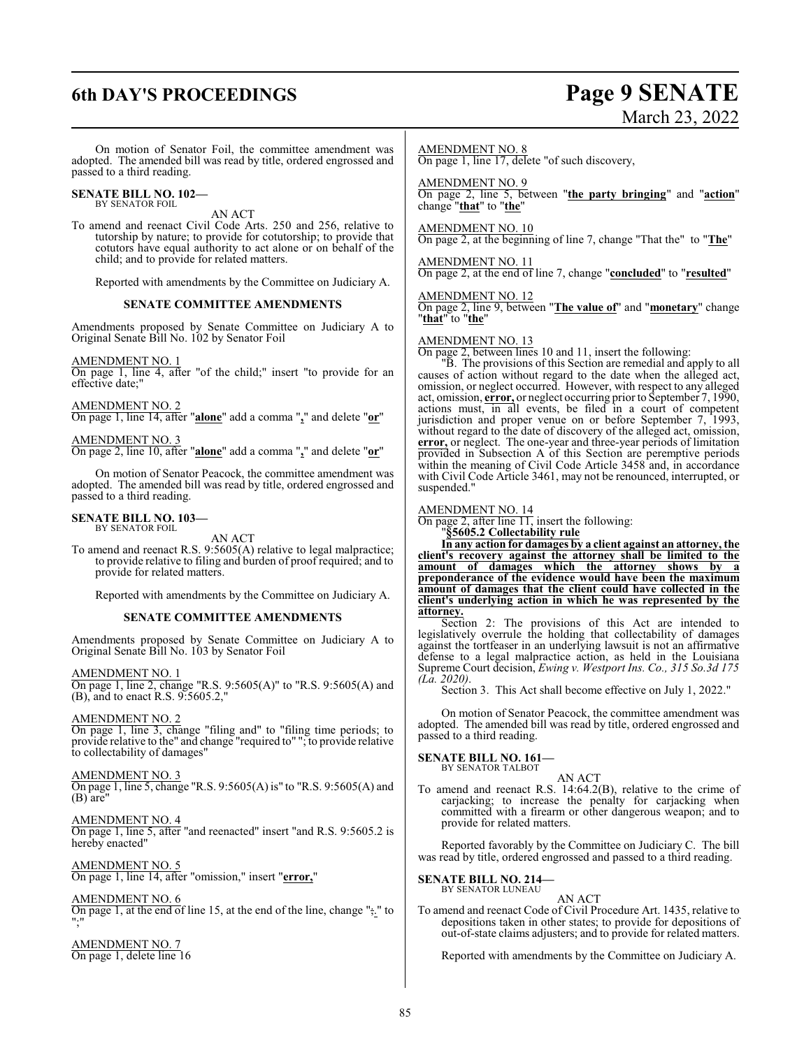# **6th DAY'S PROCEEDINGS Page 9 SENATE**

# March 23, 2022

On motion of Senator Foil, the committee amendment was adopted. The amended bill was read by title, ordered engrossed and passed to a third reading.

### **SENATE BILL NO. 102—** BY SENATOR FOIL

AN ACT

To amend and reenact Civil Code Arts. 250 and 256, relative to tutorship by nature; to provide for cotutorship; to provide that cotutors have equal authority to act alone or on behalf of the child; and to provide for related matters.

Reported with amendments by the Committee on Judiciary A.

### **SENATE COMMITTEE AMENDMENTS**

Amendments proposed by Senate Committee on Judiciary A to Original Senate Bill No. 102 by Senator Foil

### AMENDMENT NO. 1

On page 1, line 4, after "of the child;" insert "to provide for an effective date;'

### AMENDMENT NO. 2

On page 1, line 14, after "**alone**" add a comma "**,**" and delete "**or**"

AMENDMENT NO. 3 On page 2, line 10, after "**alone**" add a comma "**,**" and delete "**or**"

On motion of Senator Peacock, the committee amendment was adopted. The amended bill was read by title, ordered engrossed and passed to a third reading.

# **SENATE BILL NO. 103—** BY SENATOR FOIL

AN ACT

To amend and reenact R.S. 9:5605(A) relative to legal malpractice; to provide relative to filing and burden of proof required; and to provide for related matters.

Reported with amendments by the Committee on Judiciary A.

### **SENATE COMMITTEE AMENDMENTS**

Amendments proposed by Senate Committee on Judiciary A to Original Senate Bill No. 103 by Senator Foil

AMENDMENT NO. 1 On page 1, line 2, change "R.S. 9:5605(A)" to "R.S. 9:5605(A) and (B), and to enact R.S. 9:5605.2,"

### AMENDMENT NO. 2

On page 1, line 3, change "filing and" to "filing time periods; to provide relative to the" and change "required to" "; to provide relative to collectability of damages"

### AMENDMENT NO. 3

On page 1, line 5, change "R.S. 9:5605(A) is" to "R.S. 9:5605(A) and (B) are"

AMENDMENT NO. 4 On page 1, line 5, after "and reenacted" insert "and R.S. 9:5605.2 is hereby enacted"

AMENDMENT NO. 5 On page 1, line 14, after "omission," insert "**error,**"

AMENDMENT NO. 6 On page 1, at the end of line 15, at the end of the line, change ";." to ";"

AMENDMENT NO. 7 On page 1, delete line 16

### AMENDMENT NO. 8

On page 1, line 17, delete "of such discovery,

### AMENDMENT NO. 9

On page 2, line 5, between "**the party bringing**" and "**action**" change "**that**" to "**the**"

### AMENDMENT NO. 10

On page 2, at the beginning of line 7, change "That the" to "**The**"

AMENDMENT NO. 11 On page 2, at the end of line 7, change "**concluded**" to "**resulted**"

### AMENDMENT NO. 12

On page 2, line 9, between "**The value of**" and "**monetary**" change "**that**" to "**the**"

### AMENDMENT NO. 13

On page 2, between lines 10 and 11, insert the following:

"B. The provisions of this Section are remedial and apply to all causes of action without regard to the date when the alleged act, omission, or neglect occurred. However, with respect to any alleged act, omission, **error,** or neglect occurring prior to September 7, 1990, actions must, in all events, be filed in a court of competent jurisdiction and proper venue on or before September 7, 1993, without regard to the date of discovery of the alleged act, omission, **error,** or neglect. The one-year and three-year periods of limitation provided in Subsection A of this Section are peremptive periods within the meaning of Civil Code Article 3458 and, in accordance with Civil Code Article 3461, may not be renounced, interrupted, or suspended."

### AMENDMENT NO. 14

On page 2, after line  $\overline{11}$ , insert the following:

"**§5605.2 Collectability rule**

**In any action for damages by a client against an attorney, the client's recovery against the attorney shall be limited to the amount of damages which the attorney shows by a preponderance of the evidence would have been the maximum amount of damages that the client could have collected in the client's underlying action in which he was represented by the attorney.**

Section 2: The provisions of this Act are intended to legislatively overrule the holding that collectability of damages against the tortfeaser in an underlying lawsuit is not an affirmative defense to a legal malpractice action, as held in the Louisiana Supreme Court decision, *Ewing v. Westport Ins. Co., 315 So.3d 175 (La. 2020)*.

Section 3. This Act shall become effective on July 1, 2022."

On motion of Senator Peacock, the committee amendment was adopted. The amended bill was read by title, ordered engrossed and passed to a third reading.

### **SENATE BILL NO. 161—** BY SENATOR TALBOT

AN ACT

To amend and reenact R.S. 14:64.2(B), relative to the crime of carjacking; to increase the penalty for carjacking when committed with a firearm or other dangerous weapon; and to provide for related matters.

Reported favorably by the Committee on Judiciary C. The bill was read by title, ordered engrossed and passed to a third reading.

### **SENATE BILL NO. 214—** BY SENATOR LUNEAU

AN ACT To amend and reenact Code of Civil Procedure Art. 1435, relative to depositions taken in other states; to provide for depositions of out-of-state claims adjusters; and to provide for related matters.

Reported with amendments by the Committee on Judiciary A.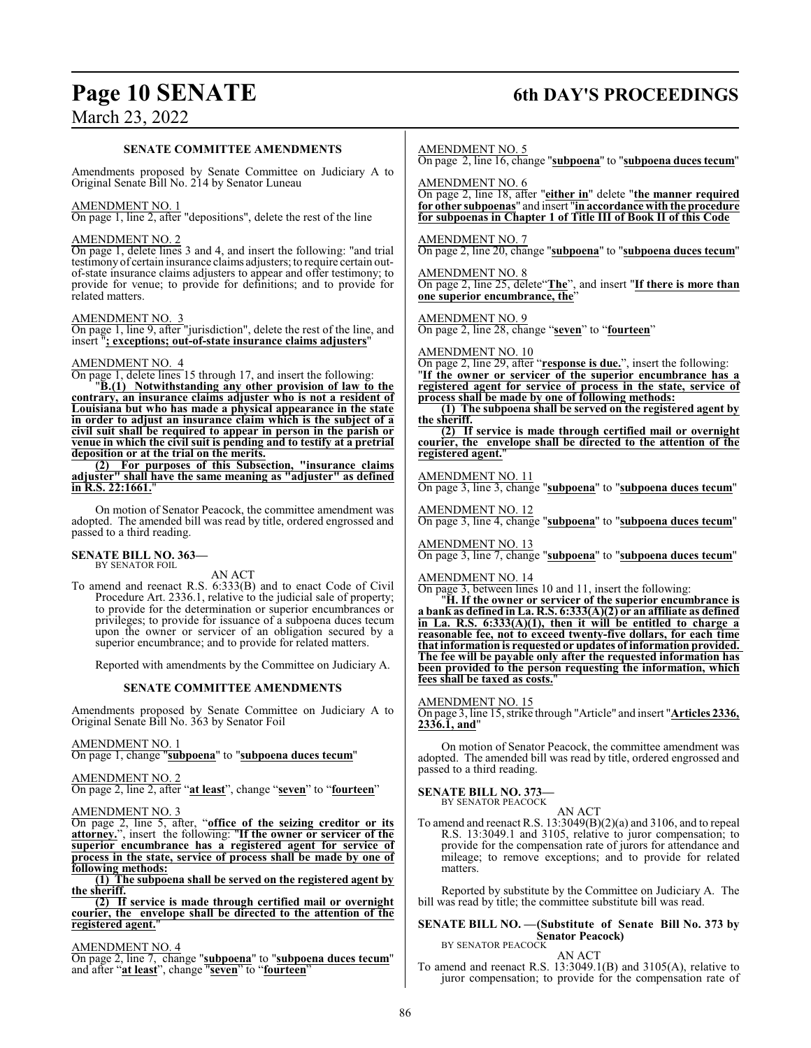# **Page 10 SENATE 6th DAY'S PROCEEDINGS**

# March 23, 2022

### **SENATE COMMITTEE AMENDMENTS**

Amendments proposed by Senate Committee on Judiciary A to Original Senate Bill No. 214 by Senator Luneau

### AMENDMENT NO. 1

On page 1, line 2, after "depositions", delete the rest of the line

### AMENDMENT NO. 2

On page 1, delete lines 3 and 4, and insert the following: "and trial testimony of certain insurance claims adjusters; to require certain outof-state insurance claims adjusters to appear and offer testimony; to provide for venue; to provide for definitions; and to provide for related matters.

### AMENDMENT NO. 3

On page 1, line 9, after "jurisdiction", delete the rest of the line, and insert "**; exceptions; out-of-state insurance claims adjusters**"

### AMENDMENT NO. 4

On page 1, delete lines 15 through 17, and insert the following:

"**B.(1) Notwithstanding any other provision of law to the contrary, an insurance claims adjuster who is not a resident of Louisiana but who has made a physical appearance in the state in order to adjust an insurance claim which is the subject of a civil suit shall be required to appear in person in the parish or venue in which the civil suit is pending and to testify at a pretrial deposition or at the trial on the merits.**

**(2) For purposes of this Subsection, "insurance claims adjuster" shall have the same meaning as "adjuster" as defined in R.S. 22:1661.**"

On motion of Senator Peacock, the committee amendment was adopted. The amended bill was read by title, ordered engrossed and passed to a third reading.

### **SENATE BILL NO. 363—** BY SENATOR FOIL

AN ACT

To amend and reenact R.S. 6:333(B) and to enact Code of Civil Procedure Art. 2336.1, relative to the judicial sale of property; to provide for the determination or superior encumbrances or privileges; to provide for issuance of a subpoena duces tecum upon the owner or servicer of an obligation secured by a superior encumbrance; and to provide for related matters.

Reported with amendments by the Committee on Judiciary A.

### **SENATE COMMITTEE AMENDMENTS**

Amendments proposed by Senate Committee on Judiciary A to Original Senate Bill No. 363 by Senator Foil

### AMENDMENT NO. 1

On page 1, change "**subpoena**" to "**subpoena duces tecum**"

### AMENDMENT NO. 2

On page 2, line 2, after "**at least**", change "**seven**" to "**fourteen**"

### AMENDMENT NO. 3

On page 2, line 5, after, "**office of the seizing creditor or its attorney.**", insert the following: "**If the owner or servicer of the superior encumbrance has a registered agent for service of process in the state, service of process shall be made by one of following methods:**

**(1) The subpoena shall be served on the registered agent by the sheriff.**

**(2) If service is made through certified mail or overnight courier, the envelope shall be directed to the attention of the registered agent.**"

### AMENDMENT NO. 4

On page 2, line 7, change "**subpoena**" to "**subpoena duces tecum**" and after "**at least**", change "**seven**" to "**fourteen**"

AMENDMENT NO. 5

On page 2, line 16, change "**subpoena**" to "**subpoena duces tecum**"

AMENDMENT NO. 6

On page 2, line 18, after "**either in**" delete "**the manner required for other subpoenas**" and insert "**in accordance with the procedure for subpoenas in Chapter 1 of Title III of Book II of this Code**

AMENDMENT NO. 7

On page 2, line 20, change "**subpoena**" to "**subpoena duces tecum**"

AMENDMENT NO. 8 On page 2, line 25, delete"**The**", and insert "**If there is more than one superior encumbrance, the**"

AMENDMENT NO. 9

On page 2, line 28, change "**seven**" to "**fourteen**"

### AMENDMENT NO. 10

On page 2, line 29, after "**response is due.**", insert the following: "**If the owner or servicer of the superior encumbrance has a registered agent for service of process in the state, service of process shall be made by one of following methods:**

**(1) The subpoena shall be served on the registered agent by the sheriff.**

**(2) If service is made through certified mail or overnight courier, the envelope shall be directed to the attention of the registered agent.**"

### AMENDMENT NO. 11

On page 3, line 3, change "**subpoena**" to "**subpoena duces tecum**"

AMENDMENT NO. 12 On page 3, line 4, change "**subpoena**" to "**subpoena duces tecum**"

AMENDMENT NO. 13 On page 3, line 7, change "**subpoena**" to "**subpoena duces tecum**"

### AMENDMENT NO. 14

On page 3, between lines 10 and 11, insert the following:

"**H. If the owner or servicer of the superior encumbrance is a bank as defined inLa. R.S. 6:333(A)(2) or an affiliate as defined in La. R.S. 6:333(A)(1), then it will be entitled to charge a reasonable fee, not to exceed twenty-five dollars, for each time that information is requested or updates of information provided. The fee will be payable only after the requested information has been provided to the person requesting the information, which fees shall be taxed as costs.**"

AMENDMENT NO. 15

On page 3, line 15, strike through "Article" and insert "**Articles 2336, 2336.1, and**"

On motion of Senator Peacock, the committee amendment was adopted. The amended bill was read by title, ordered engrossed and passed to a third reading.

### **SENATE BILL NO. 373—**

BY SENATOR PEACOCK

AN ACT To amend and reenact R.S. 13:3049(B)(2)(a) and 3106, and to repeal R.S. 13:3049.1 and 3105, relative to juror compensation; to provide for the compensation rate of jurors for attendance and mileage; to remove exceptions; and to provide for related matters.

Reported by substitute by the Committee on Judiciary A. The bill was read by title; the committee substitute bill was read.

### **SENATE BILL NO. —(Substitute of Senate Bill No. 373 by Senator Peacock)** BY SENATOR PEACOCK

AN ACT

To amend and reenact R.S. 13:3049.1(B) and 3105(A), relative to juror compensation; to provide for the compensation rate of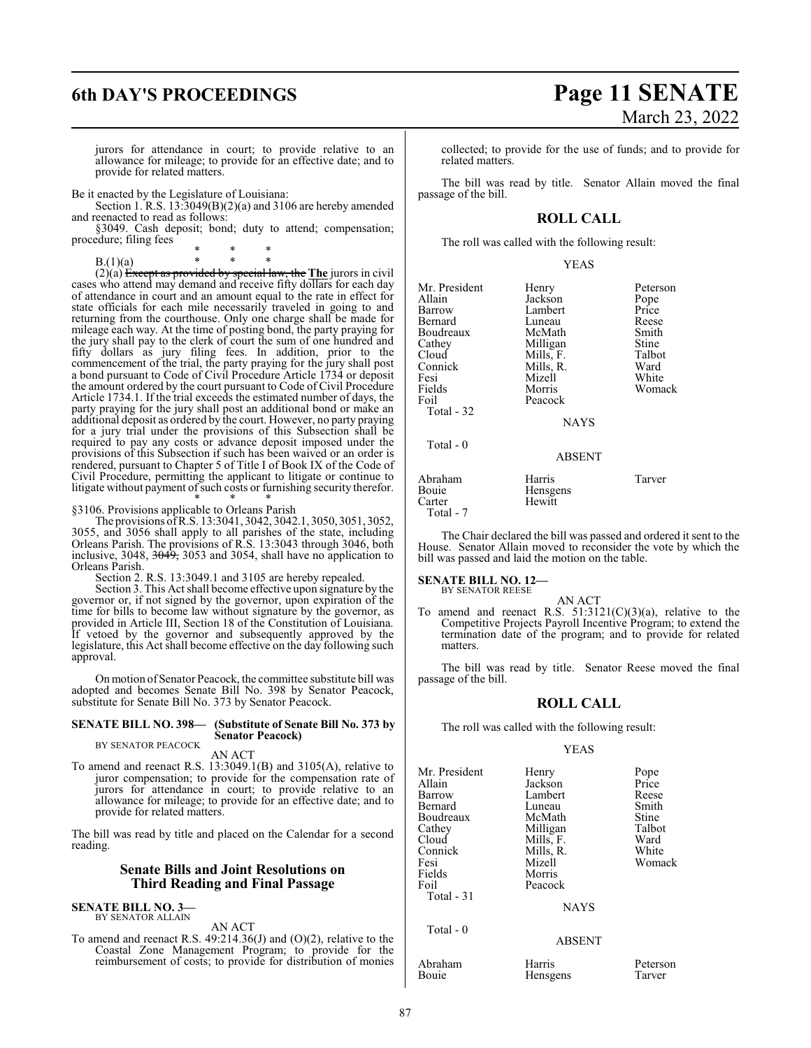jurors for attendance in court; to provide relative to an allowance for mileage; to provide for an effective date; and to provide for related matters.

Be it enacted by the Legislature of Louisiana:

Section 1. R.S. 13:3049(B)(2)(a) and 3106 are hereby amended and reenacted to read as follows:

§3049. Cash deposit; bond; duty to attend; compensation; procedure; filing fees

\* \* \* B.(1)(a)  $*$  \*  $(2)(a)$  Except as provided by special law, the **The** jurors in civil

cases who attend may demand and receive fifty dollars for each day of attendance in court and an amount equal to the rate in effect for state officials for each mile necessarily traveled in going to and returning from the courthouse. Only one charge shall be made for mileage each way. At the time of posting bond, the party praying for the jury shall pay to the clerk of court the sum of one hundred and fifty dollars as jury filing fees. In addition, prior to the commencement of the trial, the party praying for the jury shall post a bond pursuant to Code of Civil Procedure Article 1734 or deposit the amount ordered by the court pursuant to Code of Civil Procedure Article 1734.1. If the trial exceeds the estimated number of days, the party praying for the jury shall post an additional bond or make an additional deposit as ordered by the court. However, no party praying for a jury trial under the provisions of this Subsection shall be required to pay any costs or advance deposit imposed under the provisions of this Subsection if such has been waived or an order is rendered, pursuant to Chapter 5 of Title I of Book IX of the Code of Civil Procedure, permitting the applicant to litigate or continue to litigate without payment of such costs or furnishing security therefor. \* \* \*

§3106. Provisions applicable to Orleans Parish

The provisions ofR.S. 13:3041, 3042, 3042.1, 3050, 3051, 3052, 3055, and 3056 shall apply to all parishes of the state, including Orleans Parish. The provisions of R.S. 13:3043 through 3046, both inclusive, 3048, <del>3049,</del> 3053 and 3054, shall have no application to Orleans Parish.

Section 2. R.S. 13:3049.1 and 3105 are hereby repealed.

Section 3. This Act shall become effective upon signature by the governor or, if not signed by the governor, upon expiration of the time for bills to become law without signature by the governor, as provided in Article III, Section 18 of the Constitution of Louisiana. If vetoed by the governor and subsequently approved by the legislature, this Act shall become effective on the day following such approval.

Onmotion ofSenator Peacock, the committee substitute bill was adopted and becomes Senate Bill No. 398 by Senator Peacock, substitute for Senate Bill No. 373 by Senator Peacock.

### **SENATE BILL NO. 398— (Substitute of Senate Bill No. 373 by Senator Peacock)**

BY SENATOR PEACOCK AN ACT

To amend and reenact R.S. 13:3049.1(B) and 3105(A), relative to juror compensation; to provide for the compensation rate of jurors for attendance in court; to provide relative to an allowance for mileage; to provide for an effective date; and to provide for related matters.

The bill was read by title and placed on the Calendar for a second reading.

### **Senate Bills and Joint Resolutions on Third Reading and Final Passage**

**SENATE BILL NO. 3—** BY SENATOR ALLAIN

### AN ACT

To amend and reenact R.S. 49:214.36(J) and (O)(2), relative to the Coastal Zone Management Program; to provide for the reimbursement of costs; to provide for distribution of monies collected; to provide for the use of funds; and to provide for related matters.

The bill was read by title. Senator Allain moved the final passage of the bill.

### **ROLL CALL**

The roll was called with the following result:

|--|

| Mr. President |               |          |
|---------------|---------------|----------|
|               | Henry         | Peterson |
| Allain        | Jackson       | Pope     |
| Barrow        | Lambert       | Price    |
| Bernard       | Luneau        | Reese    |
| Boudreaux     | McMath        | Smith    |
| Cathey        | Milligan      | Stine    |
| Cloud         | Mills, F.     | Talbot   |
| Connick       | Mills, R.     | Ward     |
| Fesi          | Mizell        | White    |
| Fields        | Morris        | Womack   |
| Foil          | Peacock       |          |
| Total - 32    |               |          |
|               | <b>NAYS</b>   |          |
| Total - 0     |               |          |
|               | <b>ABSENT</b> |          |
| Abraham       | Harris        | Tarver   |
| Bouie         | Hensgens      |          |
| Carter        | Hewitt        |          |
|               |               |          |

Total - 7

The Chair declared the bill was passed and ordered it sent to the House. Senator Allain moved to reconsider the vote by which the bill was passed and laid the motion on the table.

# **SENATE BILL NO. 12—** BY SENATOR REESE

AN ACT To amend and reenact R.S.  $51:3121(C)(3)(a)$ , relative to the Competitive Projects Payroll Incentive Program; to extend the termination date of the program; and to provide for related matters.

The bill was read by title. Senator Reese moved the final passage of the bill.

### **ROLL CALL**

The roll was called with the following result:

### YEAS

| Mr. President | Henry         | Pope   |
|---------------|---------------|--------|
| Allain        | Jackson       | Price  |
| Barrow        | Lambert       | Reese  |
| Bernard       | Luneau        | Smith  |
| Boudreaux     | McMath        | Stine  |
| Cathey        | Milligan      | Talbot |
| Cloud         | Mills, F.     | Ward   |
| Connick       | Mills, R.     | White  |
|               |               |        |
| Fesi          | Mizell        | Womack |
| Fields        | Morris        |        |
| Foil          | Peacock       |        |
| Total $-31$   |               |        |
|               | <b>NAYS</b>   |        |
| Total - 0     |               |        |
|               | <b>ABSENT</b> |        |
| .             | $-$           |        |

Abraham Harris Peterson<br>Bouie Hensgens Tarver

### **ENT**

Hensgens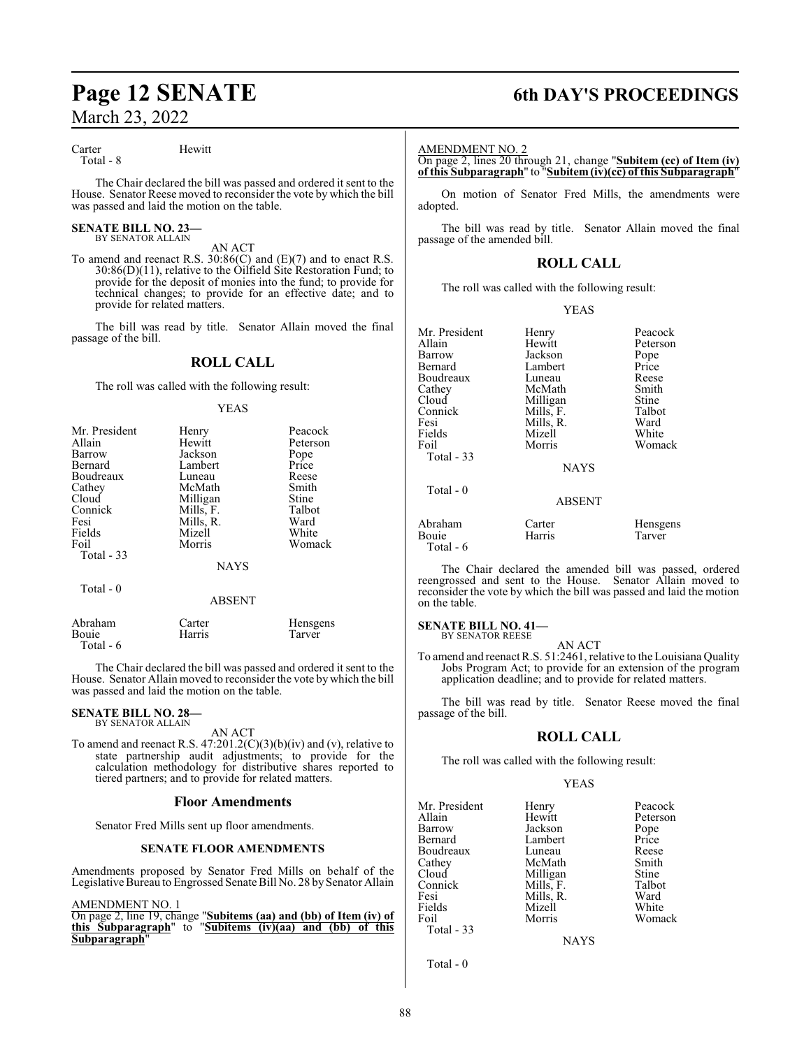Carter Hewitt

Total - 8

The Chair declared the bill was passed and ordered it sent to the House. Senator Reese moved to reconsider the vote by which the bill was passed and laid the motion on the table.

### **SENATE BILL NO. 23—** BY SENATOR ALLAIN

AN ACT

To amend and reenact R.S. 30:86(C) and (E)(7) and to enact R.S. 30:86(D)(11), relative to the Oilfield Site Restoration Fund; to provide for the deposit of monies into the fund; to provide for technical changes; to provide for an effective date; and to provide for related matters.

The bill was read by title. Senator Allain moved the final passage of the bill.

### **ROLL CALL**

The roll was called with the following result:

### YEAS

| Mr. President<br>Allain<br>Barrow<br>Bernard<br>Boudreaux<br>Cathey<br>Cloud<br>Connick<br>Fesi<br>Fields<br>Foil<br>Total $-33$ | Henry<br>Hewitt<br>Jackson<br>Lambert<br>Luneau<br>McMath<br>Milligan<br>Mills, F.<br>Mills, R.<br>Mizell<br>Morris | Peacock<br>Peterson<br>Pope<br>Price<br>Reese<br>Smith<br>Stine<br>Talbot<br>Ward<br>White<br>Womack |
|----------------------------------------------------------------------------------------------------------------------------------|---------------------------------------------------------------------------------------------------------------------|------------------------------------------------------------------------------------------------------|
|                                                                                                                                  | <b>NAYS</b>                                                                                                         |                                                                                                      |
| Total - 0                                                                                                                        | <b>ABSENT</b>                                                                                                       |                                                                                                      |

| Abraham   | Carter | <b>H</b> ensgens |
|-----------|--------|------------------|
| Bouie     | Harris | Tarver           |
| Total - 6 |        |                  |

The Chair declared the bill was passed and ordered it sent to the House. Senator Allain moved to reconsider the vote by which the bill was passed and laid the motion on the table.

### **SENATE BILL NO. 28—** BY SENATOR ALLAIN

AN ACT

To amend and reenact R.S.  $47:201.2(C)(3)(b)(iv)$  and (v), relative to state partnership audit adjustments; to provide for the calculation methodology for distributive shares reported to tiered partners; and to provide for related matters.

### **Floor Amendments**

Senator Fred Mills sent up floor amendments.

### **SENATE FLOOR AMENDMENTS**

Amendments proposed by Senator Fred Mills on behalf of the Legislative Bureau to Engrossed Senate Bill No. 28 by Senator Allain

### AMENDMENT NO. 1

On page 2, line 19, change "**Subitems (aa) and (bb) of Item (iv) of this Subparagraph**" to "**Subitems (iv)(aa) and (bb) of this Subparagraph**"

# **Page 12 SENATE 6th DAY'S PROCEEDINGS**

### AMENDMENT NO. 2

On page 2, lines 20 through 21, change "**Subitem (cc) of Item (iv) of this Subparagraph**" to "**Subitem(iv)(cc) of this Subparagraph**"

On motion of Senator Fred Mills, the amendments were adopted.

The bill was read by title. Senator Allain moved the final passage of the amended bill.

### **ROLL CALL**

The roll was called with the following result:

### YEAS

| Mr. President<br>Allain<br>Barrow<br>Bernard<br>Boudreaux<br>Cathey<br>Cloud<br>Connick<br>Fesi<br>Fields<br>Foil | Henry<br>Hewitt<br>Jackson<br>Lambert<br>Luneau<br>McMath<br>Milligan<br>Mills, F.<br>Mills, R.<br>Mizell<br>Morris | Peacock<br>Peterson<br>Pope<br>Price<br>Reese<br>Smith<br>Stine<br>Talbot<br>Ward<br>White<br>Womack |
|-------------------------------------------------------------------------------------------------------------------|---------------------------------------------------------------------------------------------------------------------|------------------------------------------------------------------------------------------------------|
| Total $-33$                                                                                                       |                                                                                                                     |                                                                                                      |
|                                                                                                                   | <b>NAYS</b>                                                                                                         |                                                                                                      |
| Total $-0$                                                                                                        | <b>ABSENT</b>                                                                                                       |                                                                                                      |
| Abraham<br>Bouie<br>Total - 6                                                                                     | Carter<br>Harris                                                                                                    | Hensgens<br>Tarver                                                                                   |

The Chair declared the amended bill was passed, ordered reengrossed and sent to the House. Senator Allain moved to reconsider the vote by which the bill was passed and laid the motion on the table.

### **SENATE BILL NO. 41—**

BY SENATOR REESE

AN ACT To amend and reenact R.S. 51:2461, relative to the Louisiana Quality Jobs Program Act; to provide for an extension of the program application deadline; and to provide for related matters.

The bill was read by title. Senator Reese moved the final passage of the bill.

### **ROLL CALL**

The roll was called with the following result:

### YEAS

| Mr. President | Henry     | Peacock  |
|---------------|-----------|----------|
| Allain        | Hewitt    | Peterson |
| Barrow        | Jackson   | Pope     |
| Bernard       | Lambert   | Price    |
| Boudreaux     | Luneau    | Reese    |
| Cathey        | McMath    | Smith    |
| Cloud         | Milligan  | Stine    |
| Connick       | Mills, F. | Talbot   |
| Fesi          | Mills, R. | Ward     |
| Fields        | Mizell    | White    |
| Foil          | Morris    | Womack   |
| Total $-33$   |           |          |
|               | NAYS      |          |

Total - 0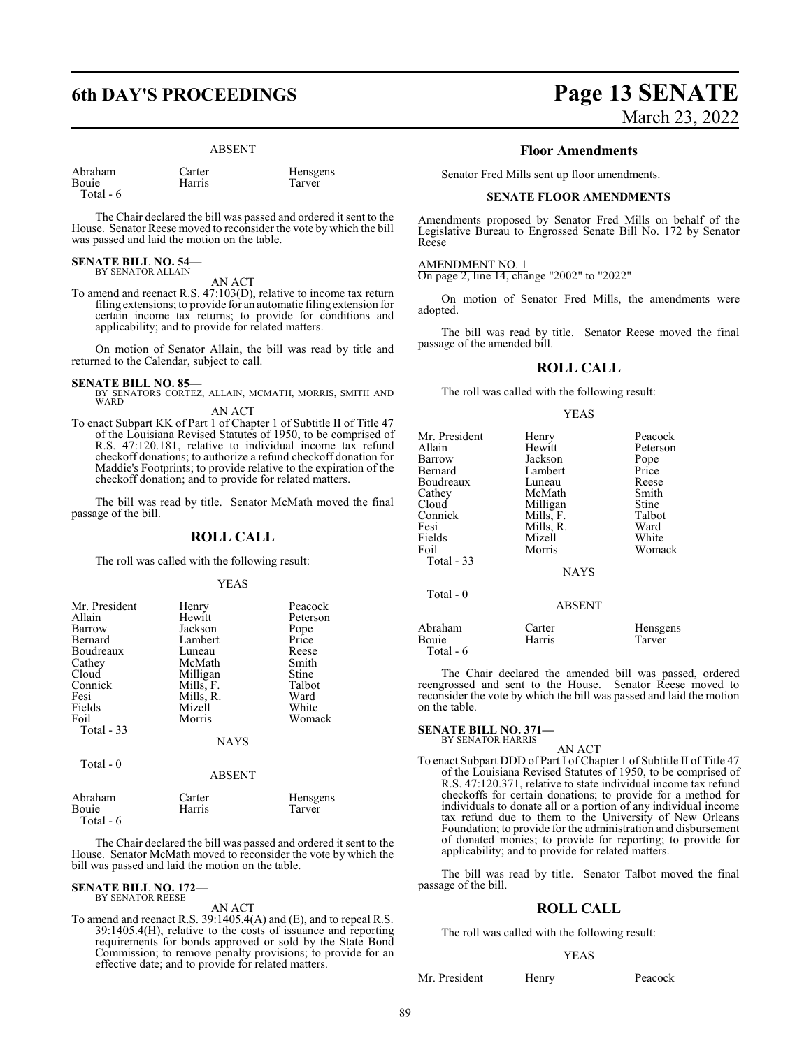### ABSENT

| Abraham                 |  |
|-------------------------|--|
| $D_{\alpha\alpha\beta}$ |  |

Total - 6

Carter Hensgens<br>
Harris Tarver Bouie Harris Tarver

The Chair declared the bill was passed and ordered it sent to the House. Senator Reese moved to reconsider the vote by which the bill was passed and laid the motion on the table.

**SENATE BILL NO. 54—** BY SENATOR ALLAIN

AN ACT

To amend and reenact R.S. 47:103(D), relative to income tax return filing extensions; to provide for an automatic filing extension for certain income tax returns; to provide for conditions and applicability; and to provide for related matters.

On motion of Senator Allain, the bill was read by title and returned to the Calendar, subject to call.

**SENATE BILL NO. 85—**<br>BY SENATORS CORTEZ, ALLAIN, MCMATH, MORRIS, SMITH AND WARD AN ACT

To enact Subpart KK of Part 1 of Chapter 1 of Subtitle II of Title 47 of the Louisiana Revised Statutes of 1950, to be comprised of R.S. 47:120.181, relative to individual income tax refund checkoff donations; to authorize a refund checkoff donation for Maddie's Footprints; to provide relative to the expiration of the checkoff donation; and to provide for related matters.

The bill was read by title. Senator McMath moved the final passage of the bill.

### **ROLL CALL**

The roll was called with the following result:

### YEAS

| Henry<br>Hewitt<br>Jackson<br>Lambert<br>Luneau<br>McMath<br>Milligan<br>Mills, F.<br>Mills, R.<br>Mizell<br>Morris | Peacock<br>Peterson<br>Pope<br>Price<br>Reese<br>Smith<br>Stine<br>Talbot<br>Ward<br>White<br>Womack |
|---------------------------------------------------------------------------------------------------------------------|------------------------------------------------------------------------------------------------------|
|                                                                                                                     |                                                                                                      |
|                                                                                                                     | <b>NAYS</b><br>ABSENT                                                                                |

| Abraham   | Carter | <b>H</b> ensgens |
|-----------|--------|------------------|
| Bouie     | Harris | Tarver           |
| Total - 6 |        |                  |

The Chair declared the bill was passed and ordered it sent to the House. Senator McMath moved to reconsider the vote by which the bill was passed and laid the motion on the table.

# **SENATE BILL NO. 172—** BY SENATOR REESE

AN ACT

To amend and reenact R.S. 39:1405.4(A) and (E), and to repeal R.S. 39:1405.4(H), relative to the costs of issuance and reporting requirements for bonds approved or sold by the State Bond Commission; to remove penalty provisions; to provide for an effective date; and to provide for related matters.

# **6th DAY'S PROCEEDINGS Page 13 SENATE** March 23, 2022

### **Floor Amendments**

Senator Fred Mills sent up floor amendments.

### **SENATE FLOOR AMENDMENTS**

Amendments proposed by Senator Fred Mills on behalf of the Legislative Bureau to Engrossed Senate Bill No. 172 by Senator Reese

AMENDMENT NO. 1 On page 2, line 14, change "2002" to "2022"

On motion of Senator Fred Mills, the amendments were adopted.

The bill was read by title. Senator Reese moved the final passage of the amended bill.

### **ROLL CALL**

The roll was called with the following result:

### YEAS

| Mr. President<br>Allain<br>Barrow<br>Bernard<br>Boudreaux<br>Cathey<br>Cloud<br>Connick<br>Fesi<br>Fields<br>Foil<br>Total - 33 | Henry<br>Hewitt<br>Jackson<br>Lambert<br>Luneau<br>McMath<br>Milligan<br>Mills, F.<br>Mills, R.<br>Mizell<br>Morris<br><b>NAYS</b> | Peacock<br>Peterson<br>Pope<br>Price<br>Reese<br>Smith<br>Stine<br>Talbot<br>Ward<br>White<br>Womack |
|---------------------------------------------------------------------------------------------------------------------------------|------------------------------------------------------------------------------------------------------------------------------------|------------------------------------------------------------------------------------------------------|
| Total - 0                                                                                                                       | <b>ABSENT</b>                                                                                                                      |                                                                                                      |
| Abraham<br>Bouie<br>Total - 6                                                                                                   | Carter<br>Harris                                                                                                                   | Hensgens<br>Tarver                                                                                   |

The Chair declared the amended bill was passed, ordered

reengrossed and sent to the House. Senator Reese moved to reconsider the vote by which the bill was passed and laid the motion on the table.

### **SENATE BILL NO. 371—** BY SENATOR HARRIS

### AN ACT

To enact Subpart DDD of Part I of Chapter 1 of Subtitle II of Title 47 of the Louisiana Revised Statutes of 1950, to be comprised of R.S. 47:120.371, relative to state individual income tax refund checkoffs for certain donations; to provide for a method for individuals to donate all or a portion of any individual income tax refund due to them to the University of New Orleans Foundation; to provide for the administration and disbursement of donated monies; to provide for reporting; to provide for applicability; and to provide for related matters.

The bill was read by title. Senator Talbot moved the final passage of the bill.

### **ROLL CALL**

The roll was called with the following result:

### YEAS

Mr. President Henry Peacock

89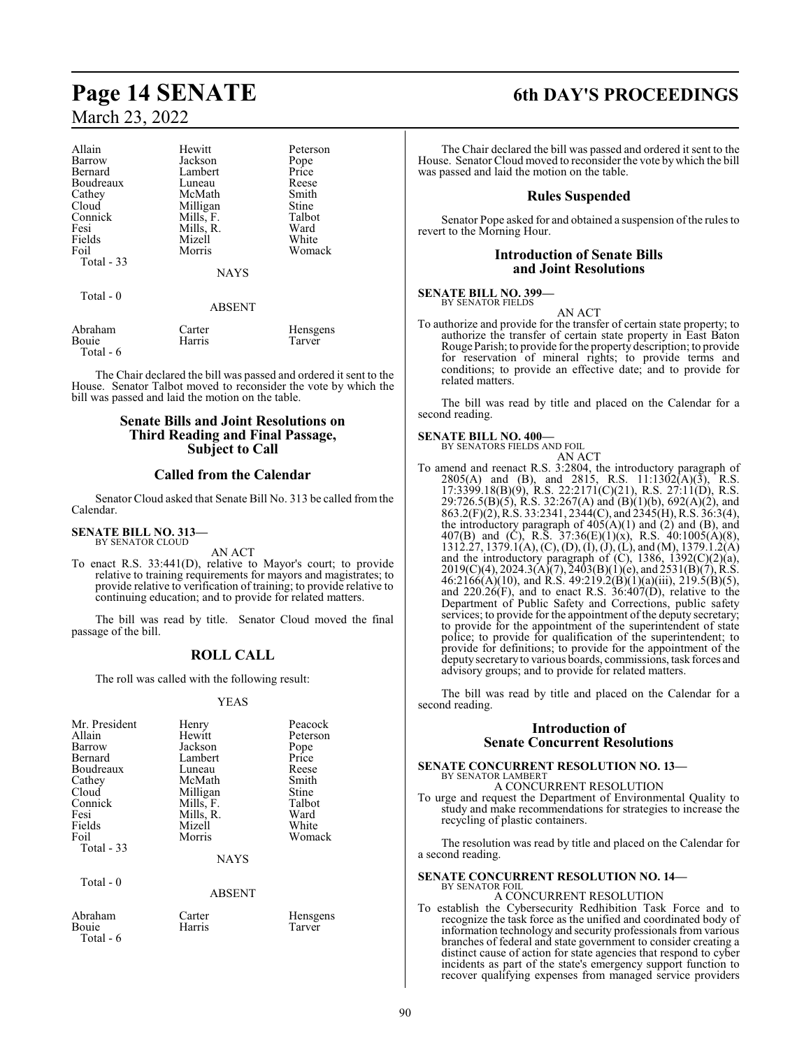| Allain     | Hewitt    | Peterson |
|------------|-----------|----------|
| Barrow     | Jackson   | Pope     |
| Bernard    | Lambert   | Price    |
| Boudreaux  | Luneau    | Reese    |
| Cathey     | McMath    | Smith    |
| Cloud      | Milligan  | Stine    |
| Connick    | Mills, F. | Talbot   |
| Fesi       | Mills, R. | Ward     |
| Fields     | Mizell    | White    |
| Foil       | Morris    | Womack   |
| Total - 33 |           |          |
|            | NAYS      |          |
| Total - 0  |           |          |
|            | ABSENT    |          |

| Abraham   | Carter | Hensgens |
|-----------|--------|----------|
| Bouie     | Harris | Tarver   |
| Total - 6 |        |          |

The Chair declared the bill was passed and ordered it sent to the House. Senator Talbot moved to reconsider the vote by which the bill was passed and laid the motion on the table.

### **Senate Bills and Joint Resolutions on Third Reading and Final Passage, Subject to Call**

### **Called from the Calendar**

Senator Cloud asked that Senate Bill No. 313 be called from the Calendar.

### **SENATE BILL NO. 313—** BY SENATOR CLOUD

AN ACT

To enact R.S. 33:441(D), relative to Mayor's court; to provide relative to training requirements for mayors and magistrates; to provide relative to verification of training; to provide relative to continuing education; and to provide for related matters.

The bill was read by title. Senator Cloud moved the final passage of the bill.

### **ROLL CALL**

The roll was called with the following result:

### YEAS

| Mr. President | Henry     | Peacock       |
|---------------|-----------|---------------|
| Allain        | Hewitt    | Peterson      |
| Barrow        | Jackson   |               |
| Bernard       | Lambert   | Pope<br>Price |
| Boudreaux     | Luneau    | Reese         |
| Cathey        | McMath    | Smith         |
| Cloud         | Milligan  | Stine         |
| Connick       | Mills, F. | Talbot        |
| Fesi          | Mills, R. | Ward          |
| Fields        | Mizell    | White         |
| Foil          | Morris    | Womack        |
| Total $-33$   |           |               |
|               | NAYS      |               |

Total - 6

Total - 0

Abraham Carter Hensgens Bouie Harris Tarver

ABSENT

# **Page 14 SENATE 6th DAY'S PROCEEDINGS**

The Chair declared the bill was passed and ordered it sent to the House. Senator Cloud moved to reconsider the vote bywhich the bill was passed and laid the motion on the table.

### **Rules Suspended**

Senator Pope asked for and obtained a suspension of the rules to revert to the Morning Hour.

### **Introduction of Senate Bills and Joint Resolutions**

### **SENATE BILL NO. 399—** BY SENATOR FIELDS

AN ACT

To authorize and provide for the transfer of certain state property; to authorize the transfer of certain state property in East Baton RougeParish; to provide for the property description; to provide for reservation of mineral rights; to provide terms and conditions; to provide an effective date; and to provide for related matters.

The bill was read by title and placed on the Calendar for a second reading.

### **SENATE BILL NO. 400—**

BY SENATORS FIELDS AND FOIL

- AN ACT
- To amend and reenact R.S. 3:2804, the introductory paragraph of 2805(A) and (B), and 2815, R.S. 11:1302(A)(3), R.S. 17:3399.18(B)(9), R.S. 22:2171(C)(21), R.S. 27:11(D), R.S. 29:726.5(B)(5), R.S. 32:267(A) and (B)(1)(b), 692(A)(2), and 863.2(F)(2), R.S. 33:2341, 2344(C), and 2345(H), R.S. 36:3(4), the introductory paragraph of  $405(A)(1)$  and  $(2)$  and  $(B)$ , and 407(B) and (C), R.S. 37:36(E)(1)(x), R.S. 40:1005(A)(8), 1312.27, 1379.1(A), (C), (D), (I), (J), (L), and (M), 1379.1.2(A) and the introductory paragraph of  $(C)$ , 1386, 1392 $(C)(2)(a)$ ,  $2019(C)(4)$ ,  $2024.3(A)(7)$ ,  $2403(B)(1)(e)$ , and  $2531(B)(7)$ , R.S.  $46:2166(A)(10)$ , and R.S.  $49:219.2(B)(1)(a)(iii)$ ,  $219.5(B)(5)$ , and  $220.26(F)$ , and to enact R.S.  $36:407(D)$ , relative to the Department of Public Safety and Corrections, public safety services; to provide for the appointment of the deputy secretary; to provide for the appointment of the superintendent of state police; to provide for qualification of the superintendent; to provide for definitions; to provide for the appointment of the deputy secretaryto various boards, commissions, task forces and advisory groups; and to provide for related matters.

The bill was read by title and placed on the Calendar for a second reading.

### **Introduction of Senate Concurrent Resolutions**

## **SENATE CONCURRENT RESOLUTION NO. 13—** BY SENATOR LAMBERT A CONCURRENT RESOLUTION

To urge and request the Department of Environmental Quality to study and make recommendations for strategies to increase the recycling of plastic containers.

The resolution was read by title and placed on the Calendar for a second reading.

### **SENATE CONCURRENT RESOLUTION NO. 14—**

### BY SENATOR FOIL A CONCURRENT RESOLUTION

To establish the Cybersecurity Redhibition Task Force and to recognize the task force as the unified and coordinated body of information technology and security professionals from various branches of federal and state government to consider creating a distinct cause of action for state agencies that respond to cyber incidents as part of the state's emergency support function to recover qualifying expenses from managed service providers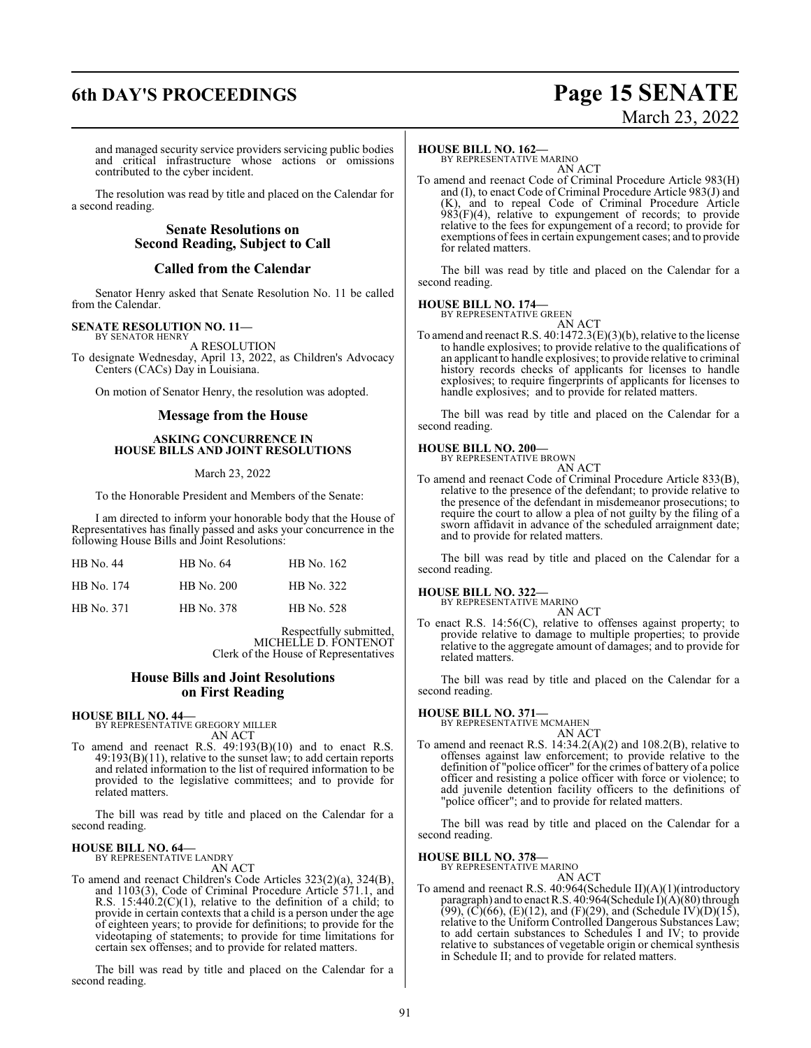# **6th DAY'S PROCEEDINGS Page 15 SENATE**

# March 23, 2022

and managed security service providers servicing public bodies and critical infrastructure whose actions or omissions contributed to the cyber incident.

The resolution was read by title and placed on the Calendar for a second reading.

### **Senate Resolutions on Second Reading, Subject to Call**

### **Called from the Calendar**

Senator Henry asked that Senate Resolution No. 11 be called from the Calendar.

### **SENATE RESOLUTION NO. 11—** BY SENATOR HENRY

A RESOLUTION

To designate Wednesday, April 13, 2022, as Children's Advocacy Centers (CACs) Day in Louisiana.

On motion of Senator Henry, the resolution was adopted.

### **Message from the House**

### **ASKING CONCURRENCE IN HOUSE BILLS AND JOINT RESOLUTIONS**

### March 23, 2022

To the Honorable President and Members of the Senate:

I am directed to inform your honorable body that the House of Representatives has finally passed and asks your concurrence in the following House Bills and Joint Resolutions:

| HB No. 44  | HB No. 64  | HB No. 162 |
|------------|------------|------------|
| HB No. 174 | HB No. 200 | HB No. 322 |
| HB No. 371 | HB No. 378 | HB No. 528 |

Respectfully submitted, MICHELLE D. FONTENOT Clerk of the House of Representatives

### **House Bills and Joint Resolutions on First Reading**

**HOUSE BILL NO. 44—**

BY REPRESENTATIVE GREGORY MILLER AN ACT

To amend and reenact R.S. 49:193(B)(10) and to enact R.S.  $49:193(B)(11)$ , relative to the sunset law; to add certain reports and related information to the list of required information to be provided to the legislative committees; and to provide for related matters.

The bill was read by title and placed on the Calendar for a second reading.

### **HOUSE BILL NO. 64—** BY REPRESENTATIVE LANDRY

AN ACT

To amend and reenact Children's Code Articles 323(2)(a), 324(B), and 1103(3), Code of Criminal Procedure Article 571.1, and R.S.  $15:440.2(C)(1)$ , relative to the definition of a child; to provide in certain contexts that a child is a person under the age of eighteen years; to provide for definitions; to provide for the videotaping of statements; to provide for time limitations for certain sex offenses; and to provide for related matters.

The bill was read by title and placed on the Calendar for a second reading.

### **HOUSE BILL NO. 162—**

BY REPRESENTATIVE MARINO AN ACT

To amend and reenact Code of Criminal Procedure Article 983(H) and (I), to enact Code of Criminal Procedure Article 983(J) and (K), and to repeal Code of Criminal Procedure Article  $983(F)(4)$ , relative to expungement of records; to provide relative to the fees for expungement of a record; to provide for exemptions of fees in certain expungement cases; and to provide for related matters.

The bill was read by title and placed on the Calendar for a second reading.

### **HOUSE BILL NO. 174—**

BY REPRESENTATIVE GREEN AN ACT

To amend and reenact R.S. 40:1472.3(E)(3)(b), relative to the license to handle explosives; to provide relative to the qualifications of an applicant to handle explosives; to provide relative to criminal history records checks of applicants for licenses to handle explosives; to require fingerprints of applicants for licenses to handle explosives; and to provide for related matters.

The bill was read by title and placed on the Calendar for a second reading.

# **HOUSE BILL NO. 200—** BY REPRESENTATIVE BROWN

AN ACT

To amend and reenact Code of Criminal Procedure Article 833(B), relative to the presence of the defendant; to provide relative to the presence of the defendant in misdemeanor prosecutions; to require the court to allow a plea of not guilty by the filing of a sworn affidavit in advance of the scheduled arraignment date; and to provide for related matters.

The bill was read by title and placed on the Calendar for a second reading.

**HOUSE BILL NO. 322—**

BY REPRESENTATIVE MARINO

AN ACT To enact R.S. 14:56(C), relative to offenses against property; to provide relative to damage to multiple properties; to provide relative to the aggregate amount of damages; and to provide for related matters.

The bill was read by title and placed on the Calendar for a second reading.

# **HOUSE BILL NO. 371—** BY REPRESENTATIVE MCMAHEN

AN ACT

To amend and reenact R.S. 14:34.2(A)(2) and 108.2(B), relative to offenses against law enforcement; to provide relative to the definition of "police officer" for the crimes of battery of a police officer and resisting a police officer with force or violence; to add juvenile detention facility officers to the definitions of "police officer"; and to provide for related matters.

The bill was read by title and placed on the Calendar for a second reading.

# **HOUSE BILL NO. 378—** BY REPRESENTATIVE MARINO

AN ACT

To amend and reenact R.S. 40:964(Schedule II)(A)(1)(introductory paragraph) and to enact R.S. 40:964(Schedule I)(A)(80) through  $(99)$ ,  $(C)(66)$ ,  $(E)(12)$ , and  $(F)(29)$ , and  $(Schedule IV)(D)(15)$ , relative to the Uniform Controlled Dangerous Substances Law; to add certain substances to Schedules I and IV; to provide relative to substances of vegetable origin or chemical synthesis in Schedule II; and to provide for related matters.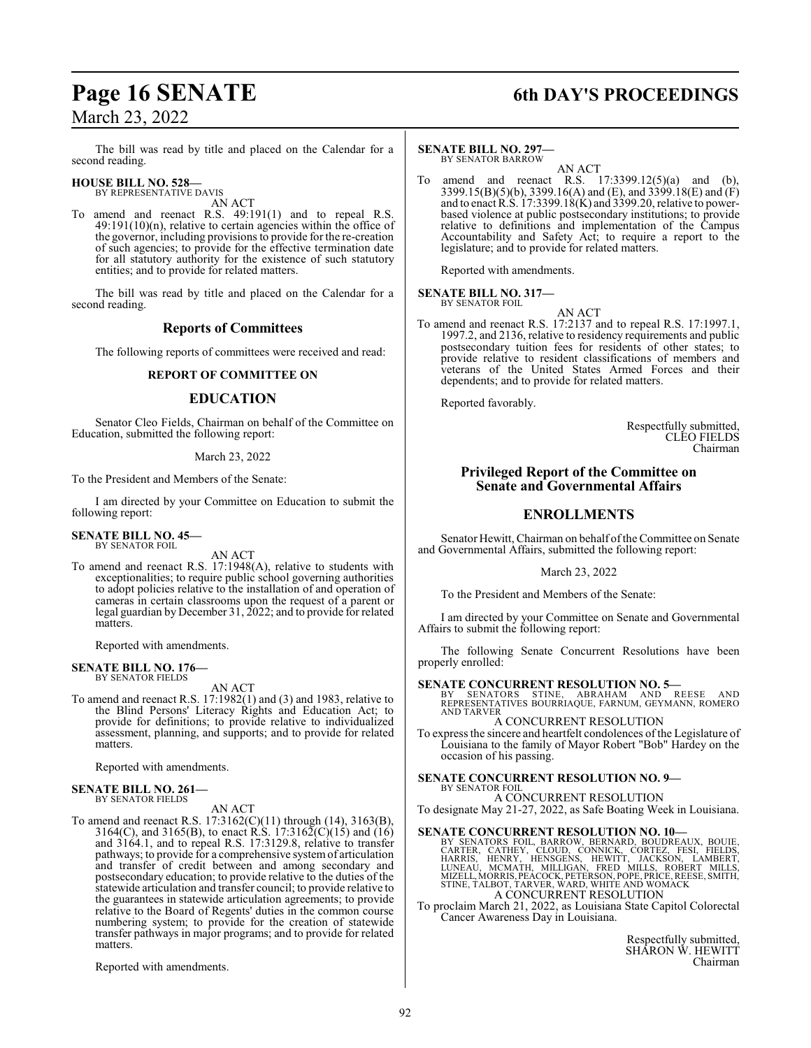The bill was read by title and placed on the Calendar for a second reading.

### **HOUSE BILL NO. 528—** BY REPRESENTATIVE DAVIS

AN ACT

To amend and reenact R.S. 49:191(1) and to repeal R.S.  $49:191(10)(n)$ , relative to certain agencies within the office of the governor, including provisions to provide for the re-creation of such agencies; to provide for the effective termination date for all statutory authority for the existence of such statutory entities; and to provide for related matters.

The bill was read by title and placed on the Calendar for a second reading.

### **Reports of Committees**

The following reports of committees were received and read:

### **REPORT OF COMMITTEE ON**

### **EDUCATION**

Senator Cleo Fields, Chairman on behalf of the Committee on Education, submitted the following report:

### March 23, 2022

To the President and Members of the Senate:

I am directed by your Committee on Education to submit the following report:

### **SENATE BILL NO. 45—** BY SENATOR FOIL

AN ACT

To amend and reenact R.S. 17:1948(A), relative to students with exceptionalities; to require public school governing authorities to adopt policies relative to the installation of and operation of cameras in certain classrooms upon the request of a parent or legal guardian by December 31, 2022; and to provide for related matters.

Reported with amendments.

### **SENATE BILL NO. 176—** BY SENATOR FIELDS

AN ACT

To amend and reenact R.S. 17:1982(1) and (3) and 1983, relative to the Blind Persons' Literacy Rights and Education Act; to provide for definitions; to provide relative to individualized assessment, planning, and supports; and to provide for related matters.

Reported with amendments.

### **SENATE BILL NO. 261—** BY SENATOR FIELDS

AN ACT

To amend and reenact R.S. 17:3162(C)(11) through (14), 3163(B), 3164(C), and 3165(B), to enact R.S. 17:3162(C)(15) and (16) and 3164.1, and to repeal R.S. 17:3129.8, relative to transfer pathways; to provide for a comprehensive systemof articulation and transfer of credit between and among secondary and postsecondary education; to provide relative to the duties of the statewide articulation and transfer council; to provide relative to the guarantees in statewide articulation agreements; to provide relative to the Board of Regents' duties in the common course numbering system; to provide for the creation of statewide transfer pathways in major programs; and to provide for related matters.

Reported with amendments.

# **Page 16 SENATE 6th DAY'S PROCEEDINGS**

### **SENATE BILL NO. 297—**

BY SENATOR BARROW AN ACT

To amend and reenact R.S. 17:3399.12(5)(a) and (b), 3399.15(B)(5)(b), 3399.16(A) and (E), and 3399.18(E) and (F) and to enact R.S. 17:3399.18(K) and 3399.20, relative to powerbased violence at public postsecondary institutions; to provide relative to definitions and implementation of the Campus Accountability and Safety Act; to require a report to the legislature; and to provide for related matters.

Reported with amendments.

**SENATE BILL NO. 317—** BY SENATOR FOIL

AN ACT

To amend and reenact R.S. 17:2137 and to repeal R.S. 17:1997.1, 1997.2, and 2136, relative to residency requirements and public postsecondary tuition fees for residents of other states; to provide relative to resident classifications of members and veterans of the United States Armed Forces and their dependents; and to provide for related matters.

Reported favorably.

Respectfully submitted, CLEO FIELDS Chairman

### **Privileged Report of the Committee on Senate and Governmental Affairs**

### **ENROLLMENTS**

Senator Hewitt, Chairman on behalf of the Committee on Senate and Governmental Affairs, submitted the following report:

March 23, 2022

To the President and Members of the Senate:

I am directed by your Committee on Senate and Governmental Affairs to submit the following report:

The following Senate Concurrent Resolutions have been properly enrolled:

**SENATE CONCURRENT RESOLUTION NO. 5—**<br>BY SENATORS STINE, ABRAHAM AND REESE AND<br>REPRESENTATIVES BOURRIAQUE, FARNUM, GEYMANN, ROMERO AND TARVER

A CONCURRENT RESOLUTION

To express the sincere and heartfelt condolences of the Legislature of Louisiana to the family of Mayor Robert "Bob" Hardey on the occasion of his passing.

### **SENATE CONCURRENT RESOLUTION NO. 9—**

BY SENATOR FOIL A CONCURRENT RESOLUTION

To designate May 21-27, 2022, as Safe Boating Week in Louisiana.

### **SENATE CONCURRENT RESOLUTION NO. 10—**

BY SENATORS FOIL, BARROW, BERNARD, BOUDREAUX, BOUIE, CARTER, CATHEY, CLOUD, CONICK, CORTEZ, FESI, FIELDS, HARRIS, HERD, HARRIS, HERD, HARRIS, HERD, MIZELLOS, HERD, MIZEL, MORRIS, LUNEAU, MIZEL, MORRIS, PERINILIS, MORRIS, P

To proclaim March 21, 2022, as Louisiana State Capitol Colorectal Cancer Awareness Day in Louisiana.

> Respectfully submitted, SHARON W. HEWITT Chairman